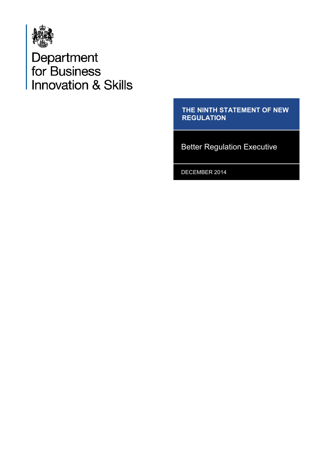

Department<br>for Business<br>Innovation & Skills

**THE NINTH STATEMENT OF NEW REGULATION**

Better Regulation Executive

DECEMBER 2014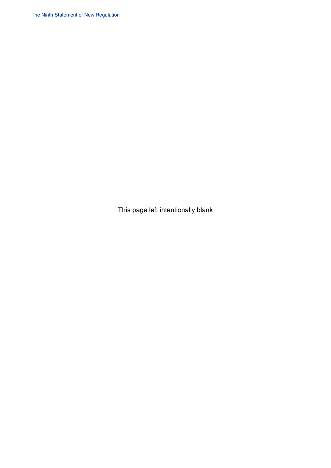This page left intentionally blank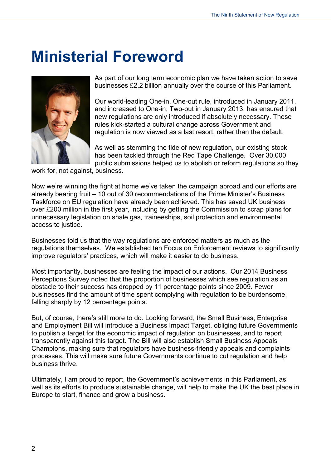# **Ministerial Foreword**



As part of our long term economic plan we have taken action to save businesses £2.2 billion annually over the course of this Parliament.

Our world-leading One-in, One-out rule, introduced in January 2011, and increased to One-in, Two-out in January 2013, has ensured that new regulations are only introduced if absolutely necessary. These rules kick-started a cultural change across Government and regulation is now viewed as a last resort, rather than the default.

As well as stemming the tide of new regulation, our existing stock has been tackled through the Red Tape Challenge. Over 30,000 public submissions helped us to abolish or reform regulations so they

work for, not against, business.

Now we're winning the fight at home we've taken the campaign abroad and our efforts are already bearing fruit – 10 out of 30 recommendations of the Prime Minister's Business Taskforce on EU regulation have already been achieved. This has saved UK business over £200 million in the first year, including by getting the Commission to scrap plans for unnecessary legislation on shale gas, traineeships, soil protection and environmental access to justice.

Businesses told us that the way regulations are enforced matters as much as the regulations themselves. We established ten Focus on Enforcement reviews to significantly improve regulators' practices, which will make it easier to do business.

Most importantly, businesses are feeling the impact of our actions. Our 2014 Business Perceptions Survey noted that the proportion of businesses which see regulation as an obstacle to their success has dropped by 11 percentage points since 2009. Fewer businesses find the amount of time spent complying with regulation to be burdensome, falling sharply by 12 percentage points.

But, of course, there's still more to do. Looking forward, the Small Business, Enterprise and Employment Bill will introduce a Business Impact Target, obliging future Governments to publish a target for the economic impact of regulation on businesses, and to report transparently against this target. The Bill will also establish Small Business Appeals Champions, making sure that regulators have business-friendly appeals and complaints processes. This will make sure future Governments continue to cut regulation and help business thrive.

Ultimately, I am proud to report, the Government's achievements in this Parliament, as well as its efforts to produce sustainable change, will help to make the UK the best place in Europe to start, finance and grow a business.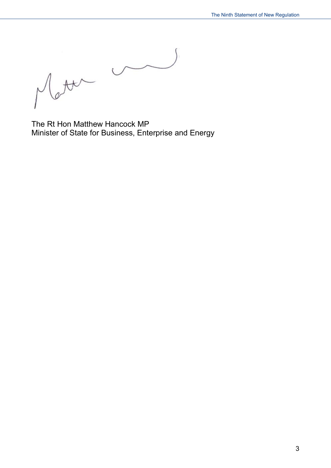$\overline{1}$ Mother

The Rt Hon Matthew Hancock MP Minister of State for Business, Enterprise and Energy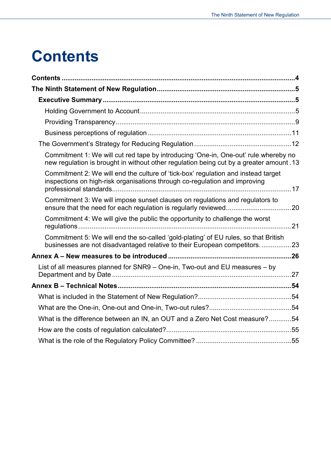# <span id="page-5-0"></span>**Contents**

| Commitment 1: We will cut red tape by introducing 'One-in, One-out' rule whereby no<br>new regulation is brought in without other regulation being cut by a greater amount .13 |  |
|--------------------------------------------------------------------------------------------------------------------------------------------------------------------------------|--|
| Commitment 2: We will end the culture of 'tick-box' regulation and instead target<br>inspections on high-risk organisations through co-regulation and improving                |  |
| Commitment 3: We will impose sunset clauses on regulations and regulators to                                                                                                   |  |
| Commitment 4: We will give the public the opportunity to challenge the worst                                                                                                   |  |
| Commitment 5: We will end the so-called 'gold-plating' of EU rules, so that British<br>businesses are not disadvantaged relative to their European competitors23               |  |
|                                                                                                                                                                                |  |
| List of all measures planned for SNR9 - One-in, Two-out and EU measures - by                                                                                                   |  |
|                                                                                                                                                                                |  |
|                                                                                                                                                                                |  |
|                                                                                                                                                                                |  |
| What is the difference between an IN, an OUT and a Zero Net Cost measure?54                                                                                                    |  |
|                                                                                                                                                                                |  |
|                                                                                                                                                                                |  |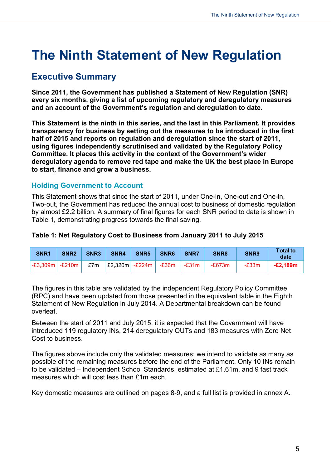# <span id="page-6-0"></span>**The Ninth Statement of New Regulation**

# <span id="page-6-1"></span>**Executive Summary**

**Since 2011, the Government has published a Statement of New Regulation (SNR) every six months, giving a list of upcoming regulatory and deregulatory measures and an account of the Government's regulation and deregulation to date.** 

**This Statement is the ninth in this series, and the last in this Parliament. It provides transparency for business by setting out the measures to be introduced in the first half of 2015 and reports on regulation and deregulation since the start of 2011, using figures independently scrutinised and validated by the Regulatory Policy Committee. It places this activity in the context of the Government's wider deregulatory agenda to remove red tape and make the UK the best place in Europe to start, finance and grow a business.**

## <span id="page-6-2"></span>**Holding Government to Account**

This Statement shows that since the start of 2011, under One-in, One-out and One-in, Two-out, the Government has reduced the annual cost to business of domestic regulation by almost £2.2 billion. A summary of final figures for each SNR period to date is shown in Table 1, demonstrating progress towards the final saving.

#### **Table 1: Net Regulatory Cost to Business from January 2011 to July 2015**

| SNR <sub>1</sub>                 | SNR <sub>2</sub> | SNR <sub>3</sub> | SNR4 | SNR <sub>5</sub> | SNR6 | SNR7 | SNR <sub>8</sub>                                      | SNR9 | <b>Total to</b><br>date  |
|----------------------------------|------------------|------------------|------|------------------|------|------|-------------------------------------------------------|------|--------------------------|
| $\left  -23,309m \right  -2210m$ |                  |                  |      |                  |      |      | £7m $ £2,320m $ -£224m $ $ -£36m $ $ -£31m $ $ -£673m |      | $-E33m$ - <b>£2,189m</b> |

The figures in this table are validated by the independent Regulatory Policy Committee (RPC) and have been updated from those presented in the equivalent table in the Eighth Statement of New Regulation in July 2014. A Departmental breakdown can be found overleaf.

Between the start of 2011 and July 2015, it is expected that the Government will have introduced 119 regulatory INs, 214 deregulatory OUTs and 183 measures with Zero Net Cost to business.

The figures above include only the validated measures; we intend to validate as many as possible of the remaining measures before the end of the Parliament. Only 10 INs remain to be validated – Independent School Standards, estimated at £1.61m, and 9 fast track measures which will cost less than £1m each.

Key domestic measures are outlined on pages 8-9, and a full list is provided in annex A.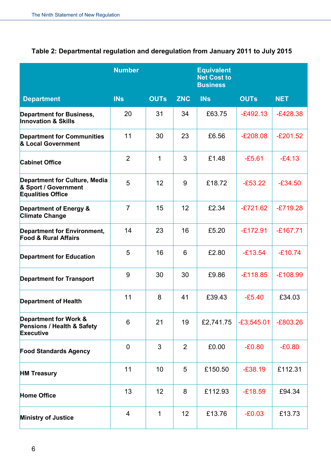|                                                                                          | <b>Number</b>  |             |            | <b>Equivalent</b><br><b>Net Cost to</b><br><b>Business</b> |              |            |
|------------------------------------------------------------------------------------------|----------------|-------------|------------|------------------------------------------------------------|--------------|------------|
| <b>Department</b>                                                                        | <b>INS</b>     | <b>OUTs</b> | <b>ZNC</b> | <b>INs</b>                                                 | <b>OUTs</b>  | <b>NET</b> |
| <b>Department for Business,</b><br><b>Innovation &amp; Skills</b>                        | 20             | 31          | 34         | £63.75                                                     | $-E492.13$   | $-E428.38$ |
| <b>Department for Communities</b><br>& Local Government                                  | 11             | 30          | 23         | £6.56                                                      | $-E208.08$   | $-E201.52$ |
| <b>Cabinet Office</b>                                                                    | 2              | 1           | 3          | £1.48                                                      | $-£5.61$     | $-E4.13$   |
| <b>Department for Culture, Media</b><br>& Sport / Government<br><b>Equalities Office</b> | 5              | 12          | 9          | £18.72                                                     | $-E53.22$    | $-£34.50$  |
| Department of Energy &<br><b>Climate Change</b>                                          | $\overline{7}$ | 15          | 12         | £2.34                                                      | $-E721.62$   | $-E719.28$ |
| <b>Department for Environment,</b><br><b>Food &amp; Rural Affairs</b>                    | 14             | 23          | 16         | £5.20                                                      | $-£172.91$   | $-£167.71$ |
| <b>Department for Education</b>                                                          | 5              | 16          | 6          | £2.80                                                      | $-£13.54$    | $-£10.74$  |
| <b>Department for Transport</b>                                                          | 9              | 30          | 30         | £9.86                                                      | $-£118.85$   | $-E108.99$ |
| <b>Department of Health</b>                                                              | 11             | 8           | 41         | £39.43                                                     | $-£5.40$     | £34.03     |
| Department for Work &<br>Pensions / Health & Safety<br><b>Executive</b>                  | 6              | 21          | 19         | £2,741.75                                                  | $-£3,545.01$ | $-E803.26$ |
| <b>Food Standards Agency</b>                                                             | $\overline{0}$ | 3           | 2          | £0.00                                                      | $-£0.80$     | $-£0.80$   |
| <b>HM Treasury</b>                                                                       | 11             | 10          | 5          | £150.50                                                    | $-£38.19$    | £112.31    |
| <b>Home Office</b>                                                                       | 13             | 12          | 8          | £112.93                                                    | $-£18.59$    | £94.34     |
| Ministry of Justice                                                                      | 4              | 1           | 12         | £13.76                                                     | $-£0.03$     | £13.73     |

## **Table 2: Departmental regulation and deregulation from January 2011 to July 2015**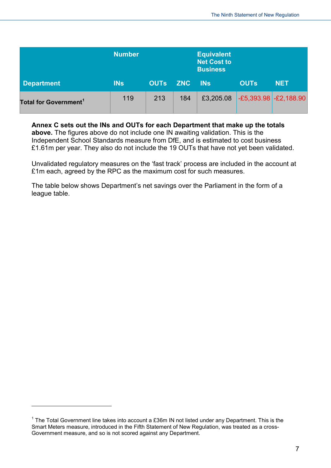|                                         |            | <b>Equivalent</b><br><b>Net Cost to</b><br><b>Business</b> |     |            |                         |            |
|-----------------------------------------|------------|------------------------------------------------------------|-----|------------|-------------------------|------------|
| <b>Department</b>                       | <b>INs</b> | <b>OUTs</b>                                                | ZNC | <b>INs</b> | <b>OUTs</b>             | <b>NET</b> |
| <b>Total for Government<sup>1</sup></b> | 119        | 213                                                        | 184 | £3,205.08  | $-E5,393.98$ -£2,188.90 |            |

**Annex C sets out the INs and OUTs for each Department that make up the totals above.** The figures above do not include one IN awaiting validation. This is the Independent School Standards measure from DfE, and is estimated to cost business £1.61m per year. They also do not include the 19 OUTs that have not yet been validated.

Unvalidated regulatory measures on the 'fast track' process are included in the account at £1m each, agreed by the RPC as the maximum cost for such measures.

The table below shows Department's net savings over the Parliament in the form of a league table.

 $\overline{a}$ 

<span id="page-8-0"></span> $1$  The Total Government line takes into account a £36m IN not listed under any Department. This is the Smart Meters measure, introduced in the Fifth Statement of New Regulation, was treated as a cross-Government measure, and so is not scored against any Department.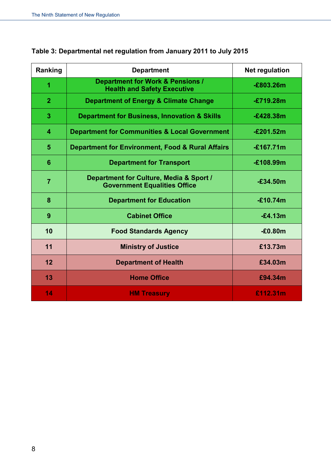| Ranking        | <b>Department</b>                                                                 | <b>Net regulation</b> |
|----------------|-----------------------------------------------------------------------------------|-----------------------|
| 1              | <b>Department for Work &amp; Pensions /</b><br><b>Health and Safety Executive</b> | $-£803.26m$           |
| $\overline{2}$ | <b>Department of Energy &amp; Climate Change</b>                                  | $-£719.28m$           |
| 3              | <b>Department for Business, Innovation &amp; Skills</b>                           | $-£428.38m$           |
| 4              | <b>Department for Communities &amp; Local Government</b>                          | $-E201.52m$           |
| 5              | <b>Department for Environment, Food &amp; Rural Affairs</b>                       | $-£167.71m$           |
| $6\phantom{1}$ | <b>Department for Transport</b>                                                   | $-£108.99m$           |
| $\overline{7}$ | Department for Culture, Media & Sport /<br><b>Government Equalities Office</b>    | $-£34.50m$            |
| 8              | <b>Department for Education</b>                                                   | $-£10.74m$            |
| 9              | <b>Cabinet Office</b>                                                             | $-£4.13m$             |
| 10             | <b>Food Standards Agency</b>                                                      | $-E0.80m$             |
| 11             | <b>Ministry of Justice</b>                                                        | £13.73m               |
| 12             | <b>Department of Health</b>                                                       | £34.03m               |
| 13             | <b>Home Office</b>                                                                | £94.34m               |
| 14             | <b>HM Treasury</b>                                                                | £112.31m              |

## **Table 3: Departmental net regulation from January 2011 to July 2015**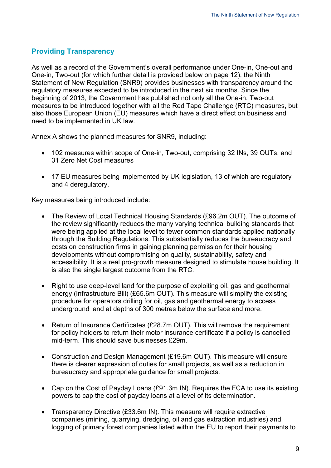## <span id="page-10-0"></span>**Providing Transparency**

As well as a record of the Government's overall performance under One-in, One-out and One-in, Two-out (for which further detail is provided below on page 12), the Ninth Statement of New Regulation (SNR9) provides businesses with transparency around the regulatory measures expected to be introduced in the next six months. Since the beginning of 2013, the Government has published not only all the One-in, Two-out measures to be introduced together with all the Red Tape Challenge (RTC) measures, but also those European Union (EU) measures which have a direct effect on business and need to be implemented in UK law.

Annex A shows the planned measures for SNR9, including:

- 102 measures within scope of One-in, Two-out, comprising 32 INs, 39 OUTs, and 31 Zero Net Cost measures
- 17 EU measures being implemented by UK legislation, 13 of which are regulatory and 4 deregulatory.

Key measures being introduced include:

- The Review of Local Technical Housing Standards (£96.2m OUT). The outcome of the review significantly reduces the many varying technical building standards that were being applied at the local level to fewer common standards applied nationally through the Building Regulations. This substantially reduces the bureaucracy and costs on construction firms in gaining planning permission for their housing developments without compromising on quality, sustainability, safety and accessibility. It is a real pro-growth measure designed to stimulate house building. It is also the single largest outcome from the RTC.
- Right to use deep-level land for the purpose of exploiting oil, gas and geothermal energy (Infrastructure Bill) (£65.6m OUT). This measure will simplify the existing procedure for operators drilling for oil, gas and geothermal energy to access underground land at depths of 300 metres below the surface and more.
- Return of Insurance Certificates (£28.7m OUT). This will remove the requirement for policy holders to return their motor insurance certificate if a policy is cancelled mid-term. This should save businesses £29m.
- Construction and Design Management (£19.6m OUT). This measure will ensure there is clearer expression of duties for small projects, as well as a reduction in bureaucracy and appropriate guidance for small projects.
- Cap on the Cost of Payday Loans (£91.3m IN). Requires the FCA to use its existing powers to cap the cost of payday loans at a level of its determination.
- Transparency Directive (£33.6m IN). This measure will require extractive companies (mining, quarrying, dredging, oil and gas extraction industries) and logging of primary forest companies listed within the EU to report their payments to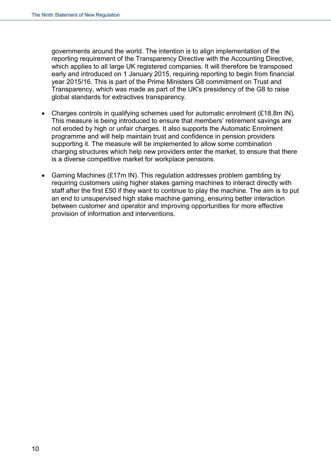governments around the world. The intention is to align implementation of the reporting requirement of the Transparency Directive with the Accounting Directive, which applies to all large UK registered companies. It will therefore be transposed early and introduced on 1 January 2015, requiring reporting to begin from financial year 2015/16. This is part of the Prime Ministers G8 commitment on Trust and Transparency, which was made as part of the UK's presidency of the G8 to raise global standards for extractives transparency.

- Charges controls in qualifying schemes used for automatic enrolment (£18.8m IN). This measure is being introduced to ensure that members' retirement savings are not eroded by high or unfair charges. It also supports the Automatic Enrolment programme and will help maintain trust and confidence in pension providers supporting it. The measure will be implemented to allow some combination charging structures which help new providers enter the market, to ensure that there is a diverse competitive market for workplace pensions.
- <span id="page-11-0"></span>• Gaming Machines (£17m IN). This regulation addresses problem gambling by requiring customers using higher stakes gaming machines to interact directly with staff after the first £50 if they want to continue to play the machine. The aim is to put an end to unsupervised high stake machine gaming, ensuring better interaction between customer and operator and improving opportunities for more effective provision of information and interventions.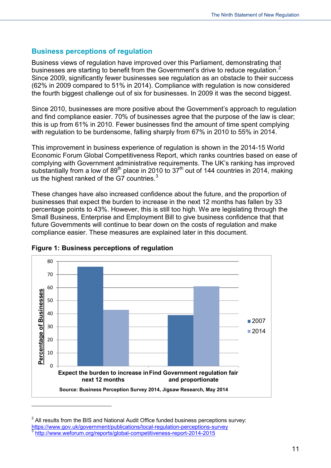## **Business perceptions of regulation**

Business views of regulation have improved over this Parliament, demonstrating that businesses are starting to benefit from the Government's drive to reduce regulation.<sup>[2](#page-12-0)</sup> Since 2009, significantly fewer businesses see regulation as an obstacle to their success (62% in 2009 compared to 51% in 2014). Compliance with regulation is now considered the fourth biggest challenge out of six for businesses. In 2009 it was the second biggest.

Since 2010, businesses are more positive about the Government's approach to regulation and find compliance easier. 70% of businesses agree that the purpose of the law is clear; this is up from 61% in 2010. Fewer businesses find the amount of time spent complying with regulation to be burdensome, falling sharply from 67% in 2010 to 55% in 2014.

This improvement in business experience of regulation is shown in the 2014-15 World Economic Forum Global Competitiveness Report, which ranks countries based on ease of complying with Government administrative requirements. The UK's ranking has improved substantially from a low of 89<sup>th</sup> place in 2010 to 37<sup>th</sup> out of 144 countries in 2014, making us the highest ranked of the G7 countries. $3$ 

These changes have also increased confidence about the future, and the proportion of businesses that expect the burden to increase in the next 12 months has fallen by 33 percentage points to 43%. However, this is still too high. We are legislating through the Small Business, Enterprise and Employment Bill to give business confidence that that future Governments will continue to bear down on the costs of regulation and make compliance easier. These measures are explained later in this document.



**Figure 1: Business perceptions of regulation** 

 $\overline{a}$ 

<span id="page-12-0"></span><sup>&</sup>lt;sup>2</sup> All results from the BIS and National Audit Office funded business perceptions survey:<br>https://www.gov.uk/government/publications/local-regulation-perceptions-survey

<span id="page-12-1"></span>http://www.weforum.org/reports/global-competitiveness-report-2014-2015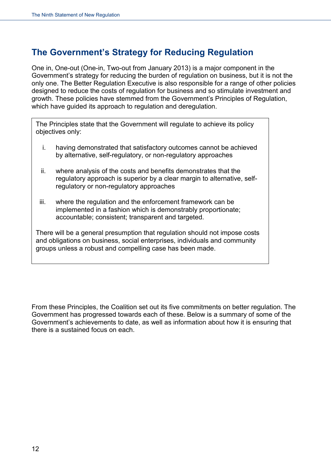# <span id="page-13-0"></span>**The Government's Strategy for Reducing Regulation**

One in, One-out (One-in, Two-out from January 2013) is a major component in the Government's strategy for reducing the burden of regulation on business, but it is not the only one. The Better Regulation Executive is also responsible for a range of other policies designed to reduce the costs of regulation for business and so stimulate investment and growth. These policies have stemmed from the Government's Principles of Regulation, which have guided its approach to regulation and deregulation.

The Principles state that the Government will regulate to achieve its policy objectives only:

- i. having demonstrated that satisfactory outcomes cannot be achieved by alternative, self-regulatory, or non-regulatory approaches
- ii. where analysis of the costs and benefits demonstrates that the regulatory approach is superior by a clear margin to alternative, selfregulatory or non-regulatory approaches
- iii. where the regulation and the enforcement framework can be implemented in a fashion which is demonstrably proportionate; accountable; consistent; transparent and targeted.

There will be a general presumption that regulation should not impose costs and obligations on business, social enterprises, individuals and community groups unless a robust and compelling case has been made.

From these Principles, the Coalition set out its five commitments on better regulation. The Government has progressed towards each of these. Below is a summary of some of the Government's achievements to date, as well as information about how it is ensuring that there is a sustained focus on each.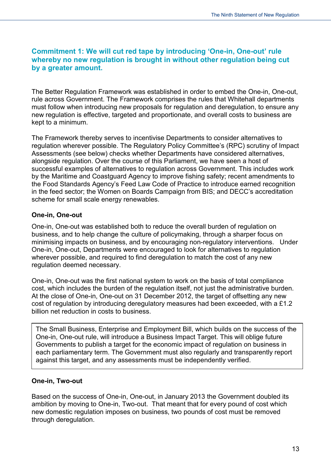### <span id="page-14-0"></span>**Commitment 1: We will cut red tape by introducing 'One-in, One-out' rule whereby no new regulation is brought in without other regulation being cut by a greater amount.**

The Better Regulation Framework was established in order to embed the One-in, One-out, rule across Government. The Framework comprises the rules that Whitehall departments must follow when introducing new proposals for regulation and deregulation, to ensure any new regulation is effective, targeted and proportionate, and overall costs to business are kept to a minimum.

The Framework thereby serves to incentivise Departments to consider alternatives to regulation wherever possible. The Regulatory Policy Committee's (RPC) scrutiny of Impact Assessments (see below) checks whether Departments have considered alternatives, alongside regulation. Over the course of this Parliament, we have seen a host of successful examples of alternatives to regulation across Government. This includes work by the Maritime and Coastguard Agency to improve fishing safety; recent amendments to the Food Standards Agency's Feed Law Code of Practice to introduce earned recognition in the feed sector; the Women on Boards Campaign from BIS; and DECC's accreditation scheme for small scale energy renewables.

#### **One-in, One-out**

One-in, One-out was established both to reduce the overall burden of regulation on business, and to help change the culture of policymaking, through a sharper focus on minimising impacts on business, and by encouraging non-regulatory interventions. Under One-in, One-out, Departments were encouraged to look for alternatives to regulation wherever possible, and required to find deregulation to match the cost of any new regulation deemed necessary.

One-in, One-out was the first national system to work on the basis of total compliance cost, which includes the burden of the regulation itself, not just the administrative burden. At the close of One-in, One-out on 31 December 2012, the target of offsetting any new cost of regulation by introducing deregulatory measures had been exceeded, with a £1.2 billion net reduction in costs to business.

The Small Business, Enterprise and Employment Bill, which builds on the success of the One-in, One-out rule, will introduce a Business Impact Target. This will oblige future Governments to publish a target for the economic impact of regulation on business in each parliamentary term. The Government must also regularly and transparently report against this target, and any assessments must be independently verified.

#### **One-in, Two-out**

Based on the success of One-in, One-out, in January 2013 the Government doubled its ambition by moving to One-in, Two-out. That meant that for every pound of cost which new domestic regulation imposes on business, two pounds of cost must be removed through deregulation.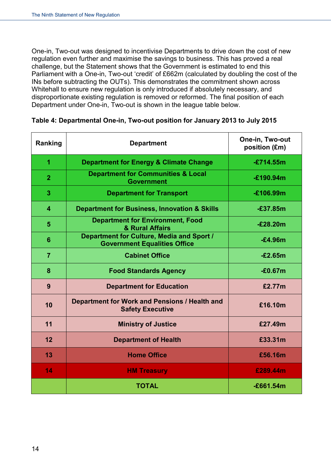One-in, Two-out was designed to incentivise Departments to drive down the cost of new regulation even further and maximise the savings to business. This has proved a real challenge, but the Statement shows that the Government is estimated to end this Parliament with a One-in, Two-out 'credit' of £662m (calculated by doubling the cost of the INs before subtracting the OUTs). This demonstrates the commitment shown across Whitehall to ensure new regulation is only introduced if absolutely necessary, and disproportionate existing regulation is removed or reformed. The final position of each Department under One-in, Two-out is shown in the league table below.

| Ranking                 | <b>Department</b>                                                                | One-in, Two-out<br>position (£m) |
|-------------------------|----------------------------------------------------------------------------------|----------------------------------|
| 1                       | <b>Department for Energy &amp; Climate Change</b>                                | $-£714.55m$                      |
| $\overline{2}$          | <b>Department for Communities &amp; Local</b><br><b>Government</b>               | $-£190.94m$                      |
| 3                       | <b>Department for Transport</b>                                                  | $-£106.99m$                      |
| $\overline{\mathbf{4}}$ | <b>Department for Business, Innovation &amp; Skills</b>                          | $-£37.85m$                       |
| 5                       | <b>Department for Environment, Food</b><br>& Rural Affairs                       | $-E28.20m$                       |
| $6\phantom{1}6$         | Department for Culture, Media and Sport /<br><b>Government Equalities Office</b> | $-£4.96m$                        |
| $\overline{7}$          | <b>Cabinet Office</b>                                                            | $-E2.65m$                        |
| 8                       | <b>Food Standards Agency</b>                                                     | $-E0.67m$                        |
| 9                       | <b>Department for Education</b>                                                  | £2.77m                           |
| 10                      | Department for Work and Pensions / Health and<br><b>Safety Executive</b>         | £16.10m                          |
| 11                      | <b>Ministry of Justice</b>                                                       | £27.49m                          |
| 12                      | <b>Department of Health</b>                                                      | £33.31m                          |
| 13                      | <b>Home Office</b>                                                               | £56.16m                          |
| 14                      | <b>HM Treasury</b>                                                               | £289.44m                         |
|                         | <b>TOTAL</b>                                                                     | $-£661.54m$                      |

#### **Table 4: Departmental One-in, Two-out position for January 2013 to July 2015**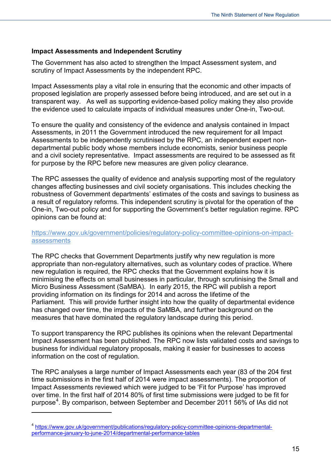#### **Impact Assessments and Independent Scrutiny**

The Government has also acted to strengthen the Impact Assessment system, and scrutiny of Impact Assessments by the independent RPC.

Impact Assessments play a vital role in ensuring that the economic and other impacts of proposed legislation are properly assessed before being introduced, and are set out in a transparent way. As well as supporting evidence-based policy making they also provide the evidence used to calculate impacts of individual measures under One-in, Two-out.

To ensure the quality and consistency of the evidence and analysis contained in Impact Assessments, in 2011 the Government introduced the new requirement for all Impact Assessments to be independently scrutinised by the RPC, an independent expert nondepartmental public body whose members include economists, senior business people and a civil society representative. Impact assessments are required to be assessed as fit for purpose by the RPC before new measures are given policy clearance.

The RPC assesses the quality of evidence and analysis supporting most of the regulatory changes affecting businesses and civil society organisations. This includes checking the robustness of Government departments' estimates of the costs and savings to business as a result of regulatory reforms. This independent scrutiny is pivotal for the operation of the One-in, Two-out policy and for supporting the Government's better regulation regime. RPC opinions can be found at:

#### [https://www.gov.uk/government/policies/regulatory-policy-committee-opinions-on-impact](https://www.gov.uk/government/policies/regulatory-policy-committee-opinions-on-impact-assessments)[assessments](https://www.gov.uk/government/policies/regulatory-policy-committee-opinions-on-impact-assessments)

The RPC checks that Government Departments justify why new regulation is more appropriate than non-regulatory alternatives, such as voluntary codes of practice. Where new regulation is required, the RPC checks that the Government explains how it is minimising the effects on small businesses in particular, through scrutinising the Small and Micro Business Assessment (SaMBA). In early 2015, the RPC will publish a report providing information on its findings for 2014 and across the lifetime of the Parliament. This will provide further insight into how the quality of departmental evidence has changed over time, the impacts of the SaMBA, and further background on the measures that have dominated the regulatory landscape during this period.

To support transparency the RPC publishes its opinions when the relevant Departmental Impact Assessment has been published. The RPC now lists validated costs and savings to business for individual regulatory proposals, making it easier for businesses to access information on the cost of regulation.

The RPC analyses a large number of Impact Assessments each year (83 of the 204 first time submissions in the first half of 2014 were impact assessments). The proportion of Impact Assessments reviewed which were judged to be 'Fit for Purpose' has improved over time. In the first half of 2014 80% of first time submissions were judged to be fit for purpose<sup>[4](#page-16-0)</sup>. By comparison, between September and December 2011 56% of IAs did not

 $\overline{a}$ 

<span id="page-16-0"></span><sup>4</sup> [https://www.gov.uk/government/publications/regulatory-policy-committee-opinions-departmental](https://www.gov.uk/government/publications/regulatory-policy-committee-opinions-departmental-performance-january-to-june-2014/departmental-performance-tables)[performance-january-to-june-2014/departmental-performance-tables](https://www.gov.uk/government/publications/regulatory-policy-committee-opinions-departmental-performance-january-to-june-2014/departmental-performance-tables)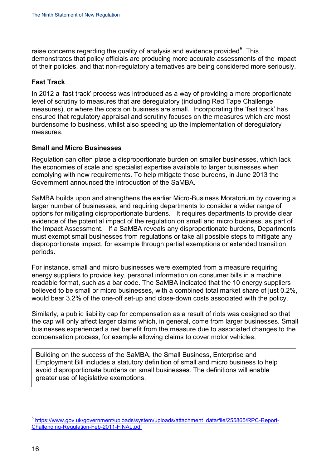raise concerns regarding the quality of analysis and evidence provided<sup>[5](#page-17-0)</sup>. This demonstrates that policy officials are producing more accurate assessments of the impact of their policies, and that non-regulatory alternatives are being considered more seriously.

#### **Fast Track**

In 2012 a 'fast track' process was introduced as a way of providing a more proportionate level of scrutiny to measures that are deregulatory (including Red Tape Challenge measures), or where the costs on business are small. Incorporating the 'fast track' has ensured that regulatory appraisal and scrutiny focuses on the measures which are most burdensome to business, whilst also speeding up the implementation of deregulatory measures.

#### **Small and Micro Businesses**

Regulation can often place a disproportionate burden on smaller businesses, which lack the economies of scale and specialist expertise available to larger businesses when complying with new requirements. To help mitigate those burdens, in June 2013 the Government announced the introduction of the SaMBA.

SaMBA builds upon and strengthens the earlier Micro-Business Moratorium by covering a larger number of businesses, and requiring departments to consider a wider range of options for mitigating disproportionate burdens. It requires departments to provide clear evidence of the potential impact of the regulation on small and micro business, as part of the Impact Assessment. If a SaMBA reveals any disproportionate burdens, Departments must exempt small businesses from regulations or take all possible steps to mitigate any disproportionate impact, for example through partial exemptions or extended transition periods.

For instance, small and micro businesses were exempted from a measure requiring energy suppliers to provide key, personal information on consumer bills in a machine readable format, such as a bar code. The SaMBA indicated that the 10 energy suppliers believed to be small or micro businesses, with a combined total market share of just 0.2%, would bear 3.2% of the one-off set-up and close-down costs associated with the policy.

Similarly, a public liability cap for compensation as a result of riots was designed so that the cap will only affect larger claims which, in general, come from larger businesses. Small businesses experienced a net benefit from the measure due to associated changes to the compensation process, for example allowing claims to cover motor vehicles.

Building on the success of the SaMBA, the Small Business, Enterprise and Employment Bill includes a statutory definition of small and micro business to help avoid disproportionate burdens on small businesses. The definitions will enable greater use of legislative exemptions.

 $\overline{a}$ 

<span id="page-17-0"></span><sup>5</sup> [https://www.gov.uk/government/uploads/system/uploads/attachment\\_data/file/255865/RPC-Report-](https://www.gov.uk/government/uploads/system/uploads/attachment_data/file/255865/RPC-Report-Challenging-Regulation-Feb-2011-FINAL.pdf)[Challenging-Regulation-Feb-2011-FINAL.pdf](https://www.gov.uk/government/uploads/system/uploads/attachment_data/file/255865/RPC-Report-Challenging-Regulation-Feb-2011-FINAL.pdf)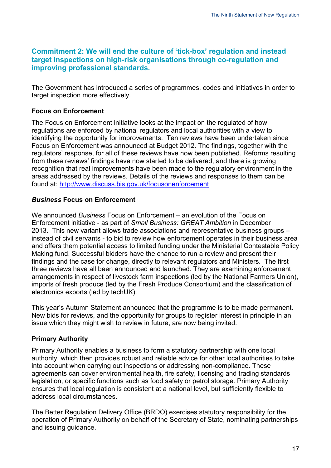### <span id="page-18-0"></span>**Commitment 2: We will end the culture of 'tick-box' regulation and instead target inspections on high-risk organisations through co-regulation and improving professional standards.**

The Government has introduced a series of programmes, codes and initiatives in order to target inspection more effectively.

#### **Focus on Enforcement**

The Focus on Enforcement initiative looks at the impact on the regulated of how regulations are enforced by national regulators and local authorities with a view to identifying the opportunity for improvements. Ten reviews have been undertaken since Focus on Enforcement was announced at Budget 2012. The findings, together with the regulators' response, for all of these reviews have now been published. Reforms resulting from these reviews' findings have now started to be delivered, and there is growing recognition that real improvements have been made to the regulatory environment in the areas addressed by the reviews. Details of the reviews and responses to them can be found at:<http://www.discuss.bis.gov.uk/focusonenforcement>

### *Business* **Focus on Enforcement**

We announced *Business* Focus on Enforcement – an evolution of the Focus on Enforcement initiative - as part of *Small Business: GREAT Ambition* in December 2013. This new variant allows trade associations and representative business groups – instead of civil servants - to bid to review how enforcement operates in their business area and offers them potential access to limited funding under the Ministerial Contestable Policy Making fund. Successful bidders have the chance to run a review and present their findings and the case for change, directly to relevant regulators and Ministers. The first three reviews have all been announced and launched. They are examining enforcement arrangements in respect of livestock farm inspections (led by the National Farmers Union), imports of fresh produce (led by the Fresh Produce Consortium) and the classification of electronics exports (led by techUK).

This year's Autumn Statement announced that the programme is to be made permanent. New bids for reviews, and the opportunity for groups to register interest in principle in an issue which they might wish to review in future, are now being invited.

#### **Primary Authority**

Primary Authority enables a business to form a statutory partnership with one local authority, which then provides robust and reliable advice for other local authorities to take into account when carrying out inspections or addressing non-compliance. These agreements can cover environmental health, fire safety, licensing and trading standards legislation, or specific functions such as food safety or petrol storage. Primary Authority ensures that local regulation is consistent at a national level, but sufficiently flexible to address local circumstances.

The Better Regulation Delivery Office (BRDO) exercises statutory responsibility for the operation of Primary Authority on behalf of the Secretary of State, nominating partnerships and issuing guidance.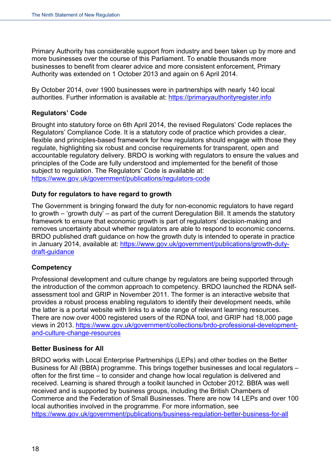Primary Authority has considerable support from industry and been taken up by more and more businesses over the course of this Parliament. To enable thousands more businesses to benefit from clearer advice and more consistent enforcement, Primary Authority was extended on 1 October 2013 and again on 6 April 2014.

By October 2014, over 1900 businesses were in partnerships with nearly 140 local authorities. Further information is available at: [https://primaryauthorityregister.info](https://primaryauthorityregister.info/)

#### **Regulators' Code**

Brought into statutory force on 6th April 2014, the revised Regulators' Code replaces the Regulators' Compliance Code. It is a statutory code of practice which provides a clear, flexible and principles-based framework for how regulators should engage with those they regulate, highlighting six robust and concise requirements for transparent, open and accountable regulatory delivery. BRDO is working with regulators to ensure the values and principles of the Code are fully understood and implemented for the benefit of those subject to regulation. The Regulators' Code is available at: <https://www.gov.uk/government/publications/regulators-code>

#### **Duty for regulators to have regard to growth**

The Government is bringing forward the duty for non-economic regulators to have regard to growth – 'growth duty' – as part of the current Deregulation Bill. It amends the statutory framework to ensure that economic growth is part of regulators' decision-making and removes uncertainty about whether regulators are able to respond to economic concerns. BRDO published draft guidance on how the growth duty is intended to operate in practice in January 2014, available at: [https://www.gov.uk/government/publications/growth-duty](https://www.gov.uk/government/publications/growth-duty-draft-guidance)[draft-guidance](https://www.gov.uk/government/publications/growth-duty-draft-guidance)

#### **Competency**

Professional development and culture change by regulators are being supported through the introduction of the common approach to competency. BRDO launched the RDNA selfassessment tool and GRIP in November 2011. The former is an interactive website that provides a robust process enabling regulators to identify their development needs, while the latter is a portal website with links to a wide range of relevant learning resources. There are now over 4000 registered users of the RDNA tool, and GRIP had 18,000 page views in 2013. [https://www.gov.uk/government/collections/brdo-professional-development](https://www.gov.uk/government/collections/brdo-professional-development-and-culture-change-resources)[and-culture-change-resources](https://www.gov.uk/government/collections/brdo-professional-development-and-culture-change-resources)

#### **Better Business for All**

BRDO works with Local Enterprise Partnerships (LEPs) and other bodies on the Better Business for All (BBfA) programme. This brings together businesses and local regulators – often for the first time – to consider and change how local regulation is delivered and received. Learning is shared through a toolkit launched in October 2012. BBfA was well received and is supported by business groups, including the British Chambers of Commerce and the Federation of Small Businesses. There are now 14 LEPs and over 100 local authorities involved in the programme. For more information, see <https://www.gov.uk/government/publications/business-regulation-better-business-for-all>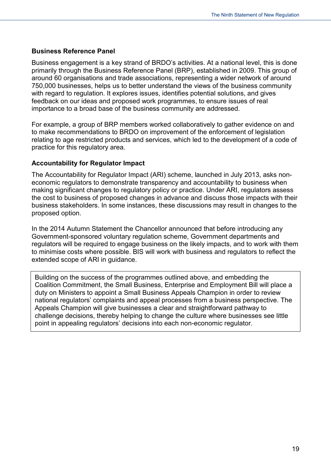#### **Business Reference Panel**

Business engagement is a key strand of BRDO's activities. At a national level, this is done primarily through the Business Reference Panel (BRP), established in 2009. This group of around 60 organisations and trade associations, representing a wider network of around 750,000 businesses, helps us to better understand the views of the business community with regard to regulation. It explores issues, identifies potential solutions, and gives feedback on our ideas and proposed work programmes, to ensure issues of real importance to a broad base of the business community are addressed.

For example, a group of BRP members worked collaboratively to gather evidence on and to make recommendations to BRDO on improvement of the enforcement of legislation relating to age restricted products and services, which led to the development of a code of practice for this regulatory area.

#### **Accountability for Regulator Impact**

The Accountability for Regulator Impact (ARI) scheme, launched in July 2013, asks noneconomic regulators to demonstrate transparency and accountability to business when making significant changes to regulatory policy or practice. Under ARI, regulators assess the cost to business of proposed changes in advance and discuss those impacts with their business stakeholders. In some instances, these discussions may result in changes to the proposed option.

In the 2014 Autumn Statement the Chancellor announced that before introducing any Government-sponsored voluntary regulation scheme, Government departments and regulators will be required to engage business on the likely impacts, and to work with them to minimise costs where possible. BIS will work with business and regulators to reflect the extended scope of ARI in guidance.

Building on the success of the programmes outlined above, and embedding the Coalition Commitment, the Small Business, Enterprise and Employment Bill will place a duty on Ministers to appoint a Small Business Appeals Champion in order to review national regulators' complaints and appeal processes from a business perspective. The Appeals Champion will give businesses a clear and straightforward pathway to challenge decisions, thereby helping to change the culture where businesses see little point in appealing regulators' decisions into each non-economic regulator.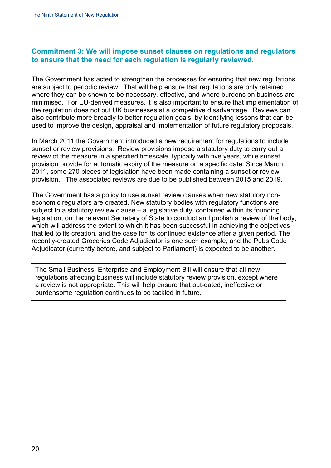## <span id="page-21-0"></span>**Commitment 3: We will impose sunset clauses on regulations and regulators to ensure that the need for each regulation is regularly reviewed.**

The Government has acted to strengthen the processes for ensuring that new regulations are subject to periodic review. That will help ensure that regulations are only retained where they can be shown to be necessary, effective, and where burdens on business are minimised. For EU-derived measures, it is also important to ensure that implementation of the regulation does not put UK businesses at a competitive disadvantage. Reviews can also contribute more broadly to better regulation goals, by identifying lessons that can be used to improve the design, appraisal and implementation of future regulatory proposals.

In March 2011 the Government introduced a new requirement for regulations to include sunset or review provisions. Review provisions impose a statutory duty to carry out a review of the measure in a specified timescale, typically with five years, while sunset provision provide for automatic expiry of the measure on a specific date. Since March 2011, some 270 pieces of legislation have been made containing a sunset or review provision. The associated reviews are due to be published between 2015 and 2019.

The Government has a policy to use sunset review clauses when new statutory noneconomic regulators are created. New statutory bodies with regulatory functions are subject to a statutory review clause – a legislative duty, contained within its founding legislation, on the relevant Secretary of State to conduct and publish a review of the body, which will address the extent to which it has been successful in achieving the objectives that led to its creation, and the case for its continued existence after a given period. The recently-created Groceries Code Adjudicator is one such example, and the Pubs Code Adjudicator (currently before, and subject to Parliament) is expected to be another.

The Small Business, Enterprise and Employment Bill will ensure that all new regulations affecting business will include statutory review provision, except where a review is not appropriate. This will help ensure that out-dated, ineffective or burdensome regulation continues to be tackled in future.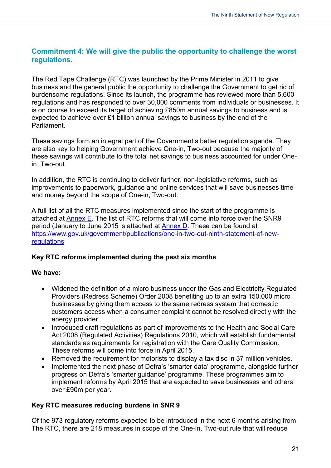## <span id="page-22-0"></span>**Commitment 4: We will give the public the opportunity to challenge the worst regulations.**

The Red Tape Challenge (RTC) was launched by the Prime Minister in 2011 to give business and the general public the opportunity to challenge the Government to get rid of burdensome regulations. Since its launch, the programme has reviewed more than 5,600 regulations and has responded to over 30,000 comments from individuals or businesses. It is on course to exceed its target of achieving £850m annual savings to business and is expected to achieve over £1 billion annual savings to business by the end of the Parliament.

These savings form an integral part of the Government's better regulation agenda. They are also key to helping Government achieve One-in, Two-out because the majority of these savings will contribute to the total net savings to business accounted for under Onein, Two-out.

In addition, the RTC is continuing to deliver further, non-legislative reforms, such as improvements to paperwork, guidance and online services that will save businesses time and money beyond the scope of One-in, Two-out.

A full list of all the RTC measures implemented since the start of the programme is attached at [Annex E.](https://www.gov.uk/government/uploads/system/uploads/attachment_data/file/391056/Annex_E___Red_Tape_Challenge_Measures_already_introduced_this_Parliament.pdf) The list of RTC reforms that will come into force over the SNR9 period (January to June 2015 is attached at [Annex D.](https://www.gov.uk/government/uploads/system/uploads/attachment_data/file/391055/Annex_D___Red_Tape_Challenge_Measures_still_to_be_introduced_this_Parliament.pdf) These can be found at [https://www.gov.uk/government/publications/one-in-two-out-ninth-statement-of-new](https://www.gov.uk/government/publications/one-in-two-out-ninth-statement-of-new-regulations)**regulations** 

#### **Key RTC reforms implemented during the past six months**

#### **We have:**

- Widened the definition of a micro business under the Gas and Electricity Regulated Providers (Redress Scheme) Order 2008 benefiting up to an extra 150,000 micro businesses by giving them access to the same redress system that domestic customers access when a consumer complaint cannot be resolved directly with the energy provider.
- Introduced draft regulations as part of improvements to the Health and Social Care Act 2008 (Regulated Activities) Regulations 2010, which will establish fundamental standards as requirements for registration with the Care Quality Commission. These reforms will come into force in April 2015.
- Removed the requirement for motorists to display a tax disc in 37 million vehicles.
- Implemented the next phase of Defra's 'smarter data' programme, alongside further progress on Defra's 'smarter guidance' programme. These programmes aim to implement reforms by April 2015 that are expected to save businesses and others over £90m per year.

#### **Key RTC measures reducing burdens in SNR 9**

Of the 973 regulatory reforms expected to be introduced in the next 6 months arising from The RTC, there are 218 measures in scope of the One-in, Two-out rule that will reduce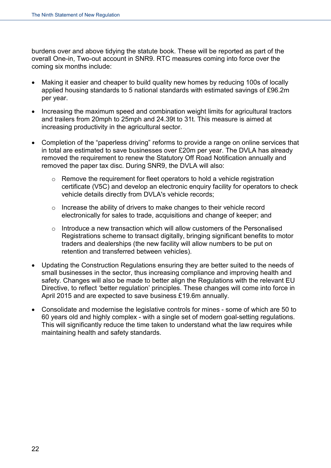burdens over and above tidying the statute book. These will be reported as part of the overall One-in, Two-out account in SNR9. RTC measures coming into force over the coming six months include:

- Making it easier and cheaper to build quality new homes by reducing 100s of locally applied housing standards to 5 national standards with estimated savings of £96.2m per year.
- Increasing the maximum speed and combination weight limits for agricultural tractors and trailers from 20mph to 25mph and 24.39t to 31t. This measure is aimed at increasing productivity in the agricultural sector.
- Completion of the "paperless driving" reforms to provide a range on online services that in total are estimated to save businesses over £20m per year. The DVLA has already removed the requirement to renew the Statutory Off Road Notification annually and removed the paper tax disc. During SNR9, the DVLA will also:
	- o Remove the requirement for fleet operators to hold a vehicle registration certificate (V5C) and develop an electronic enquiry facility for operators to check vehicle details directly from DVLA's vehicle records;
	- o Increase the ability of drivers to make changes to their vehicle record electronically for sales to trade, acquisitions and change of keeper; and
	- o Introduce a new transaction which will allow customers of the Personalised Registrations scheme to transact digitally, bringing significant benefits to motor traders and dealerships (the new facility will allow numbers to be put on retention and transferred between vehicles).
- Updating the Construction Regulations ensuring they are better suited to the needs of small businesses in the sector, thus increasing compliance and improving health and safety. Changes will also be made to better align the Regulations with the relevant EU Directive, to reflect 'better regulation' principles. These changes will come into force in April 2015 and are expected to save business £19.6m annually.
- <span id="page-23-0"></span>• Consolidate and modernise the legislative controls for mines - some of which are 50 to 60 years old and highly complex - with a single set of modern goal-setting regulations. This will significantly reduce the time taken to understand what the law requires while maintaining health and safety standards.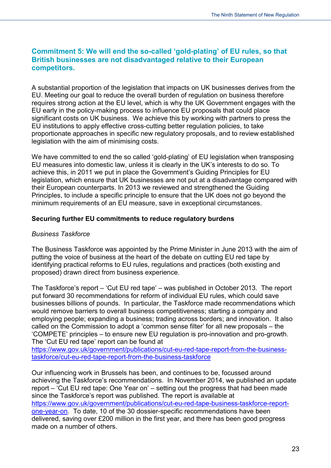## **Commitment 5: We will end the so-called 'gold-plating' of EU rules, so that British businesses are not disadvantaged relative to their European competitors.**

A substantial proportion of the legislation that impacts on UK businesses derives from the EU. Meeting our goal to reduce the overall burden of regulation on business therefore requires strong action at the EU level, which is why the UK Government engages with the EU early in the policy-making process to influence EU proposals that could place significant costs on UK business. We achieve this by working with partners to press the EU institutions to apply effective cross-cutting better regulation policies, to take proportionate approaches in specific new regulatory proposals, and to review established legislation with the aim of minimising costs.

We have committed to end the so called 'gold-plating' of EU legislation when transposing EU measures into domestic law, unless it is clearly in the UK's interests to do so. To achieve this, in 2011 we put in place the [Government's Guiding Principles for EU](https://www.gov.uk/government/uploads/system/uploads/attachment_data/file/78800/Guiding_Principles_for_EU_legislation.pdf)  [legislation,](https://www.gov.uk/government/uploads/system/uploads/attachment_data/file/78800/Guiding_Principles_for_EU_legislation.pdf) which ensure that UK businesses are not put at a disadvantage compared with their European counterparts. In 2013 we reviewed and strengthened the Guiding Principles, to include a specific principle to ensure that the UK does not go beyond the minimum requirements of an EU measure, save in exceptional circumstances.

#### **Securing further EU commitments to reduce regulatory burdens**

#### *Business Taskforce*

The Business Taskforce was appointed by the Prime Minister in June 2013 with the aim of putting the voice of business at the heart of the debate on cutting EU red tape by identifying practical reforms to EU rules, regulations and practices (both existing and proposed) drawn direct from business experience.

The Taskforce's report – 'Cut EU red tape' – was published in October 2013. The report put forward 30 recommendations for reform of individual EU rules, which could save businesses billions of pounds. In particular, the Taskforce made recommendations which would remove barriers to overall business competitiveness; starting a company and employing people; expanding a business; trading across borders; and innovation. It also called on the Commission to adopt a 'common sense filter' for all new proposals – the 'COMPETE' principles – to ensure new EU regulation is pro-innovation and pro-growth. The 'Cut EU red tape' report can be found at

[https://www.gov.uk/government/publications/cut-eu-red-tape-report-from-the-business](https://www.gov.uk/government/publications/cut-eu-red-tape-report-from-the-business-taskforce/cut-eu-red-tape-report-from-the-business-taskforce)[taskforce/cut-eu-red-tape-report-from-the-business-taskforce](https://www.gov.uk/government/publications/cut-eu-red-tape-report-from-the-business-taskforce/cut-eu-red-tape-report-from-the-business-taskforce)

Our influencing work in Brussels has been, and continues to be, focussed around achieving the Taskforce's recommendations. In November 2014, we published an update report – 'Cut EU red tape: One Year on' – setting out the progress that had been made since the Taskforce's report was published. The report is available at [https://www.gov.uk/government/publications/cut-eu-red-tape-business-taskforce-report](https://www.gov.uk/government/publications/cut-eu-red-tape-business-taskforce-report-one-year-on)[one-year-on.](https://www.gov.uk/government/publications/cut-eu-red-tape-business-taskforce-report-one-year-on) To date, 10 of the 30 dossier-specific recommendations have been delivered, saving over £200 million in the first year, and there has been good progress made on a number of others.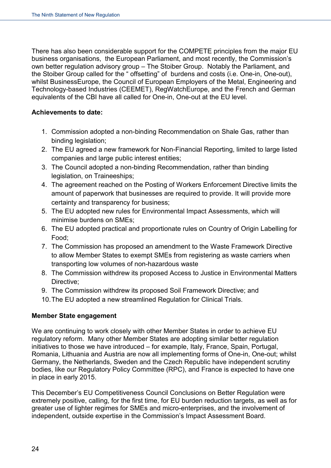There has also been considerable support for the COMPETE principles from the major EU business organisations, the European Parliament, and most recently, the Commission's own better regulation advisory group – The Stoiber Group. Notably the Parliament, and the Stoiber Group called for the " offsetting" of burdens and costs (i.e. One-in, One-out), whilst BusinessEurope, the Council of European Employers of the Metal, Engineering and Technology-based Industries (CEEMET), RegWatchEurope, and the French and German equivalents of the CBI have all called for One-in, One-out at the EU level.

#### **Achievements to date:**

- 1. Commission adopted a non-binding Recommendation on Shale Gas, rather than binding legislation;
- 2. The EU agreed a new framework for Non-Financial Reporting, limited to large listed companies and large public interest entities;
- 3. The Council adopted a non-binding Recommendation, rather than binding legislation, on Traineeships;
- 4. The agreement reached on the Posting of Workers Enforcement Directive limits the amount of paperwork that businesses are required to provide. It will provide more certainty and transparency for business;
- 5. The EU adopted new rules for Environmental Impact Assessments, which will minimise burdens on SMEs;
- 6. The EU adopted practical and proportionate rules on Country of Origin Labelling for Food;
- 7. The Commission has proposed an amendment to the Waste Framework Directive to allow Member States to exempt SMEs from registering as waste carriers when transporting low volumes of non-hazardous waste
- 8. The Commission withdrew its proposed Access to Justice in Environmental Matters Directive:
- 9. The Commission withdrew its proposed Soil Framework Directive; and
- 10.The EU adopted a new streamlined Regulation for Clinical Trials.

#### **Member State engagement**

We are continuing to work closely with other Member States in order to achieve EU regulatory reform. Many other Member States are adopting similar better regulation initiatives to those we have introduced – for example, Italy, France, Spain, Portugal, Romania, Lithuania and Austria are now all implementing forms of One-in, One-out; whilst Germany, the Netherlands, Sweden and the Czech Republic have independent scrutiny bodies, like our Regulatory Policy Committee (RPC), and France is expected to have one in place in early 2015.

This December's EU Competitiveness Council Conclusions on Better Regulation were extremely positive, calling, for the first time, for EU burden reduction targets, as well as for greater use of lighter regimes for SMEs and micro-enterprises, and the involvement of independent, outside expertise in the Commission's Impact Assessment Board.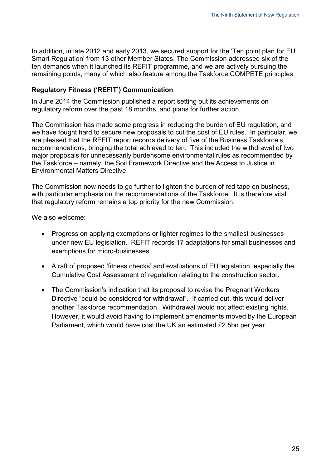In addition, in late 2012 and early 2013, we secured support for the 'Ten point plan for EU Smart Regulation' from 13 other Member States. The Commission addressed six of the ten demands when it launched its REFIT programme, and we are actively pursuing the remaining points, many of which also feature among the Taskforce COMPETE principles.

#### **Regulatory Fitness ('REFIT') Communication**

In June 2014 the Commission published a report setting out its achievements on regulatory reform over the past 18 months, and plans for further action.

The Commission has made some progress in reducing the burden of EU regulation, and we have fought hard to secure new proposals to cut the cost of EU rules. In particular, we are pleased that the REFIT report records delivery of five of the Business Taskforce's recommendations, bringing the total achieved to ten. This included the withdrawal of two major proposals for unnecessarily burdensome environmental rules as recommended by the Taskforce – namely, the Soil Framework Directive and the Access to Justice in Environmental Matters Directive.

The Commission now needs to go further to lighten the burden of red tape on business, with particular emphasis on the recommendations of the Taskforce. It is therefore vital that regulatory reform remains a top priority for the new Commission.

We also welcome:

- Progress on applying exemptions or lighter regimes to the smallest businesses under new EU legislation. REFIT records 17 adaptations for small businesses and exemptions for micro-businesses.
- A raft of proposed 'fitness checks' and evaluations of EU legislation, especially the Cumulative Cost Assessment of regulation relating to the construction sector.
- The Commission's indication that its proposal to revise the Pregnant Workers Directive "could be considered for withdrawal". If carried out, this would deliver another Taskforce recommendation. Withdrawal would not affect existing rights. However, it would avoid having to implement amendments moved by the European Parliament, which would have cost the UK an estimated £2.5bn per year.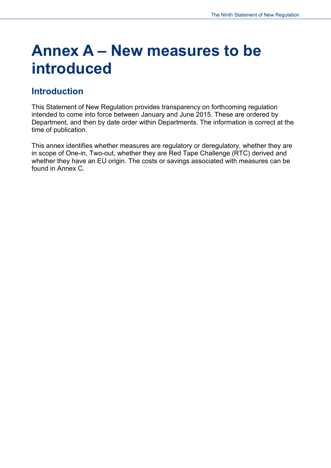# <span id="page-27-0"></span>**Annex A – New measures to be introduced**

# **Introduction**

This Statement of New Regulation provides transparency on forthcoming regulation intended to come into force between January and June 2015. These are ordered by Department, and then by date order within Departments. The information is correct at the time of publication.

This annex identifies whether measures are regulatory or deregulatory, whether they are in scope of One-in, Two-out, whether they are Red Tape Challenge (RTC) derived and whether they have an EU origin. The costs or savings associated with measures can be found in Annex C.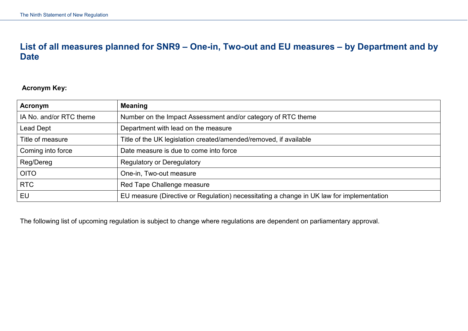# **List of all measures planned for SNR9 – One-in, Two-out and EU measures – by Department and by Date**

### **Acronym Key:**

| Acronym                 | <b>Meaning</b>                                                                           |
|-------------------------|------------------------------------------------------------------------------------------|
| IA No. and/or RTC theme | Number on the Impact Assessment and/or category of RTC theme                             |
| Lead Dept               | Department with lead on the measure                                                      |
| Title of measure        | Title of the UK legislation created/amended/removed, if available                        |
| Coming into force       | Date measure is due to come into force                                                   |
| Reg/Dereg               | <b>Regulatory or Deregulatory</b>                                                        |
| <b>OITO</b>             | One-in, Two-out measure                                                                  |
| <b>RTC</b>              | Red Tape Challenge measure                                                               |
| EU                      | EU measure (Directive or Regulation) necessitating a change in UK law for implementation |

<span id="page-28-0"></span>The following list of upcoming regulation is subject to change where regulations are dependent on parliamentary approval.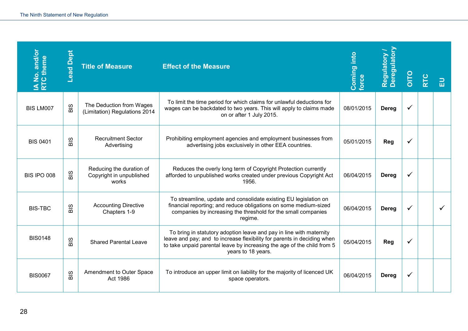| IA No. and/or<br>RTC theme | ead Dept | <b>Title of Measure</b>                                       | <b>Effect of the Measure</b>                                                                                                                                                                                                                    | <b>Coming into</b><br>force | <b>Regulatory</b><br>Deregulator | OITO         | <b>RTC</b> | 묘 |
|----------------------------|----------|---------------------------------------------------------------|-------------------------------------------------------------------------------------------------------------------------------------------------------------------------------------------------------------------------------------------------|-----------------------------|----------------------------------|--------------|------------|---|
| BIS LM007                  | BIS      | The Deduction from Wages<br>(Limitation) Regulations 2014     | To limit the time period for which claims for unlawful deductions for<br>wages can be backdated to two years. This will apply to claims made<br>on or after 1 July 2015.                                                                        | 08/01/2015                  | <b>Dereg</b>                     | ✓            |            |   |
| <b>BIS 0401</b>            | SIB      | <b>Recruitment Sector</b><br>Advertising                      | Prohibiting employment agencies and employment businesses from<br>advertising jobs exclusively in other EEA countries.                                                                                                                          | 05/01/2015                  | Reg                              | $\checkmark$ |            |   |
| <b>BIS IPO 008</b>         | SIS      | Reducing the duration of<br>Copyright in unpublished<br>works | Reduces the overly long term of Copyright Protection currently<br>afforded to unpublished works created under previous Copyright Act<br>1956.                                                                                                   | 06/04/2015                  | <b>Dereg</b>                     | $\checkmark$ |            |   |
| <b>BIS-TBC</b>             | SIS      | <b>Accounting Directive</b><br>Chapters 1-9                   | To streamline, update and consolidate existing EU legislation on<br>financial reporting; and reduce obligations on some medium-sized<br>companies by increasing the threshold for the small companies<br>regime.                                | 06/04/2015                  | <b>Dereg</b>                     | ✓            |            |   |
| <b>BIS0148</b>             | SIS      | <b>Shared Parental Leave</b>                                  | To bring in statutory adoption leave and pay in line with maternity<br>leave and pay; and to increase flexibility for parents in deciding when<br>to take unpaid parental leave by increasing the age of the child from 5<br>years to 18 years. | 05/04/2015                  | Reg                              | ✓            |            |   |
| <b>BIS0067</b>             | BIS      | Amendment to Outer Space<br>Act 1986                          | To introduce an upper limit on liability for the majority of licenced UK<br>space operators.                                                                                                                                                    | 06/04/2015                  | <b>Dereg</b>                     | $\checkmark$ |            |   |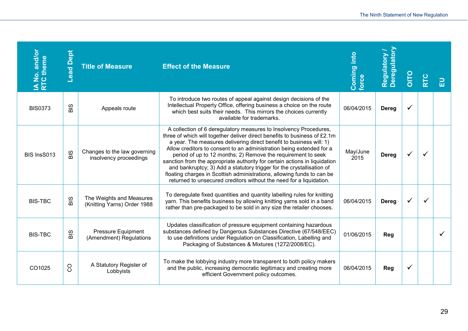| No. and/or<br><b>RTC theme</b> | <b>Lead Dept</b> | <b>Title of Measure</b>                                 | <b>Effect of the Measure</b>                                                                                                                                                                                                                                                                                                                                                                                                                                                                                                                                                                                                                                          | Coming into<br>force | Deregulato<br>Regulatory | OILO | <b>RTC</b> | 믒 |
|--------------------------------|------------------|---------------------------------------------------------|-----------------------------------------------------------------------------------------------------------------------------------------------------------------------------------------------------------------------------------------------------------------------------------------------------------------------------------------------------------------------------------------------------------------------------------------------------------------------------------------------------------------------------------------------------------------------------------------------------------------------------------------------------------------------|----------------------|--------------------------|------|------------|---|
| <b>BIS0373</b>                 | SIB              | Appeals route                                           | To introduce two routes of appeal against design decisions of the<br>Intellectual Property Office, offering business a choice on the route<br>which best suits their needs. This mirrors the choices currently<br>available for trademarks.                                                                                                                                                                                                                                                                                                                                                                                                                           | 06/04/2015           | <b>Dereg</b>             | ✓    |            |   |
| BIS InsS013                    | BIS              | Changes to the law governing<br>insolvency proceedings  | A collection of 6 deregulatory measures to Insolvency Procedures,<br>three of which will together deliver direct benefits to business of £2.1m<br>a year. The measures delivering direct benefit to business will: 1)<br>Allow creditors to consent to an administration being extended for a<br>period of up to 12 months; 2) Remove the requirement to seek<br>sanction from the appropriate authority for certain actions in liquidation<br>and bankruptcy; 3) Add a statutory trigger for the crystallisation of<br>floating charges in Scottish administrations, allowing funds to can be<br>returned to unsecured creditors without the need for a liquidation. | May/June<br>2015     | <b>Dereg</b>             | ✓    | ✓          |   |
| <b>BIS-TBC</b>                 | <b>BIS</b>       | The Weights and Measures<br>(Knitting Yarns) Order 1988 | To deregulate fixed quantities and quantity labelling rules for knitting<br>yarn. This benefits business by allowing knitting yarns sold in a band<br>rather than pre-packaged to be sold in any size the retailer chooses.                                                                                                                                                                                                                                                                                                                                                                                                                                           | 06/04/2015           | <b>Dereg</b>             | ✓    | ✓          |   |
| <b>BIS-TBC</b>                 | BIS              | <b>Pressure Equipment</b><br>(Amendment) Regulations    | Updates classification of pressure equipment containing hazardous<br>substances defined by Dangerous Substances Directive (67/548/EEC)<br>to use definitions under Regulation on Classification, Labelling and<br>Packaging of Substances & Mixtures (1272/2008/EC).                                                                                                                                                                                                                                                                                                                                                                                                  | 01/06/2015           | Reg                      |      |            |   |
| CO1025                         | S                | A Statutory Register of<br>Lobbyists                    | To make the lobbying industry more transparent to both policy makers<br>and the public, increasing democratic legitimacy and creating more<br>efficient Government policy outcomes.                                                                                                                                                                                                                                                                                                                                                                                                                                                                                   | 06/04/2015           | <b>Reg</b>               | ✓    |            |   |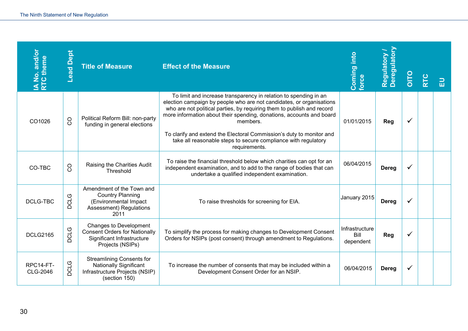| IA No. and/or<br><b>RTC theme</b> | <b>Lead Dept</b> | <b>Title of Measure</b>                                                                                                 | <b>Effect of the Measure</b>                                                                                                                                                                                                                                                                                                                                                                                                                                      | Coming into<br>force                | Regulatory<br>Deregulator | OITO | <b>RTC</b> | 品 |
|-----------------------------------|------------------|-------------------------------------------------------------------------------------------------------------------------|-------------------------------------------------------------------------------------------------------------------------------------------------------------------------------------------------------------------------------------------------------------------------------------------------------------------------------------------------------------------------------------------------------------------------------------------------------------------|-------------------------------------|---------------------------|------|------------|---|
| CO1026                            | 8                | Political Reform Bill: non-party<br>funding in general elections                                                        | To limit and increase transparency in relation to spending in an<br>election campaign by people who are not candidates, or organisations<br>who are not political parties, by requiring them to publish and record<br>more information about their spending, donations, accounts and board<br>members.<br>To clarify and extend the Electoral Commission's duty to monitor and<br>take all reasonable steps to secure compliance with regulatory<br>requirements. | 01/01/2015                          | Reg                       | ✓    |            |   |
| CO-TBC                            | $\overline{S}$   | Raising the Charities Audit<br>Threshold                                                                                | To raise the financial threshold below which charities can opt for an<br>independent examination, and to add to the range of bodies that can<br>undertake a qualified independent examination.                                                                                                                                                                                                                                                                    | 06/04/2015                          | Dereg                     | ✓    |            |   |
| DCLG-TBC                          | CLG<br>Ā         | Amendment of the Town and<br><b>Country Planning</b><br>(Environmental Impact<br><b>Assessment) Regulations</b><br>2011 | To raise thresholds for screening for EIA.                                                                                                                                                                                                                                                                                                                                                                                                                        | January 2015                        | <b>Dereg</b>              | ✓    |            |   |
| <b>DCLG2165</b>                   | <b>DCLG</b>      | <b>Changes to Development</b><br><b>Consent Orders for Nationally</b><br>Significant Infrastructure<br>Projects (NSIPs) | To simplify the process for making changes to Development Consent<br>Orders for NSIPs (post consent) through amendment to Regulations.                                                                                                                                                                                                                                                                                                                            | Infrastructure<br>Bill<br>dependent | Reg                       | ✓    |            |   |
| RPC14-FT-<br>CLG-2046             | <b>DCLG</b>      | <b>Streamlining Consents for</b><br><b>Nationally Significant</b><br>Infrastructure Projects (NSIP)<br>(section 150)    | To increase the number of consents that may be included within a<br>Development Consent Order for an NSIP.                                                                                                                                                                                                                                                                                                                                                        | 06/04/2015                          | <b>Dereg</b>              | ✓    |            |   |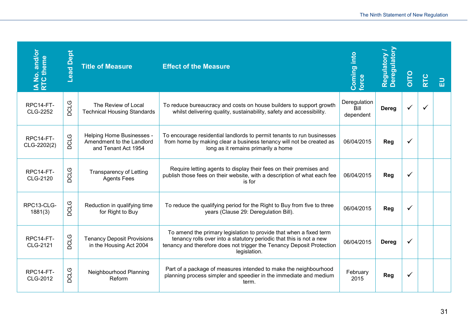| IA No. and/or<br>RTC theme | <b>Lead Dept</b> | <b>Title of Measure</b>                                                       | <b>Effect of the Measure</b>                                                                                                                                                                                                       | Coming into<br>force              | <b>Regulatory</b><br>Deregulator | OITO         | <b>RTC</b>   | $\overline{u}$ |
|----------------------------|------------------|-------------------------------------------------------------------------------|------------------------------------------------------------------------------------------------------------------------------------------------------------------------------------------------------------------------------------|-----------------------------------|----------------------------------|--------------|--------------|----------------|
| RPC14-FT-<br>CLG-2252      | <b>DCLG</b>      | The Review of Local<br><b>Technical Housing Standards</b>                     | To reduce bureaucracy and costs on house builders to support growth<br>whilst delivering quality, sustainability, safety and accessibility.                                                                                        | Deregulation<br>Bill<br>dependent | <b>Dereg</b>                     |              | $\checkmark$ |                |
| RPC14-FT-<br>CLG-2202(2)   | <b>CLG</b><br>∩  | Helping Home Businesses -<br>Amendment to the Landlord<br>and Tenant Act 1954 | To encourage residential landlords to permit tenants to run businesses<br>from home by making clear a business tenancy will not be created as<br>long as it remains primarily a home                                               | 06/04/2015                        | Reg                              | $\checkmark$ |              |                |
| RPC14-FT-<br>CLG-2120      | CLG<br>Ā         | <b>Transparency of Letting</b><br><b>Agents Fees</b>                          | Require letting agents to display their fees on their premises and<br>publish those fees on their website, with a description of what each fee<br>is for                                                                           | 06/04/2015                        | Reg                              | ✓            |              |                |
| RPC13-CLG-<br>1881(3)      | <b>DCLG</b>      | Reduction in qualifying time<br>for Right to Buy                              | To reduce the qualifying period for the Right to Buy from five to three<br>years (Clause 29: Deregulation Bill).                                                                                                                   | 06/04/2015                        | <b>Reg</b>                       | ✓            |              |                |
| RPC14-FT-<br>CLG-2121      | CLG<br>Ā         | <b>Tenancy Deposit Provisions</b><br>in the Housing Act 2004                  | To amend the primary legislation to provide that when a fixed term<br>tenancy rolls over into a statutory periodic that this is not a new<br>tenancy and therefore does not trigger the Tenancy Deposit Protection<br>legislation. | 06/04/2015                        | <b>Dereg</b>                     | ✓            |              |                |
| RPC14-FT-<br>CLG-2012      | <b>CLG</b><br>Ā  | Neighbourhood Planning<br>Reform                                              | Part of a package of measures intended to make the neighbourhood<br>planning process simpler and speedier in the immediate and medium<br>term.                                                                                     | February<br>2015                  | Reg                              | ✓            |              |                |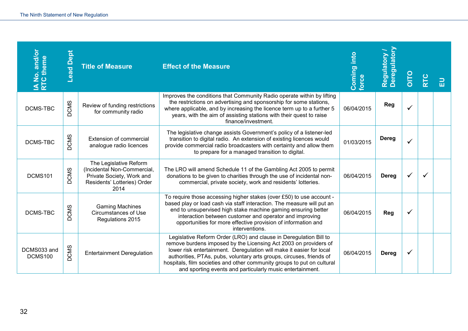| IA No. and/or<br>RTC theme | <b>Lead Dept</b> | <b>Title of Measure</b>                                                                                                   | <b>Effect of the Measure</b>                                                                                                                                                                                                                                                                                                                                                                                                  | Coming into<br>force | <b>Regulatory</b><br>Deregulator |              | <b>RTC</b> | 品 |
|----------------------------|------------------|---------------------------------------------------------------------------------------------------------------------------|-------------------------------------------------------------------------------------------------------------------------------------------------------------------------------------------------------------------------------------------------------------------------------------------------------------------------------------------------------------------------------------------------------------------------------|----------------------|----------------------------------|--------------|------------|---|
| DCMS-TBC                   | DCMS             | Review of funding restrictions<br>for community radio                                                                     | Improves the conditions that Community Radio operate within by lifting<br>the restrictions on advertising and sponsorship for some stations,<br>where applicable, and by increasing the licence term up to a further 5<br>years, with the aim of assisting stations with their quest to raise<br>finance/investment.                                                                                                          | 06/04/2015           | Reg                              | $\checkmark$ |            |   |
| DCMS-TBC                   | <b>DCMS</b>      | <b>Extension of commercial</b><br>analogue radio licences                                                                 | The legislative change assists Government's policy of a listener-led<br>transition to digital radio. An extension of existing licences would<br>provide commercial radio broadcasters with certainty and allow them<br>to prepare for a managed transition to digital.                                                                                                                                                        | 01/03/2015           | Dereg                            | ✓            |            |   |
| DCMS101                    | <b>DCMS</b>      | The Legislative Reform<br>(Incidental Non-Commercial,<br>Private Society, Work and<br>Residents' Lotteries) Order<br>2014 | The LRO will amend Schedule 11 of the Gambling Act 2005 to permit<br>donations to be given to charities through the use of incidental non-<br>commercial, private society, work and residents' lotteries.                                                                                                                                                                                                                     | 06/04/2015           | <b>Dereg</b>                     | ✓            | ✓          |   |
| DCMS-TBC                   | CMS<br>Ō         | <b>Gaming Machines</b><br><b>Circumstances of Use</b><br>Regulations 2015                                                 | To require those accessing higher stakes (over £50) to use account -<br>based play or load cash via staff interaction. The measure will put an<br>end to unsupervised high stake machine gaming ensuring better<br>interaction between customer and operator and improving<br>opportunities for more effective provision of information and<br>interventions.                                                                 | 06/04/2015           | <b>Reg</b>                       | ✓            |            |   |
| DCMS033 and<br>DCMS100     | <b>DCMS</b>      | <b>Entertainment Deregulation</b>                                                                                         | Legislative Reform Order (LRO) and clause in Deregulation Bill to<br>remove burdens imposed by the Licensing Act 2003 on providers of<br>lower risk entertainment. Deregulation will make it easier for local<br>authorities, PTAs, pubs, voluntary arts groups, circuses, friends of<br>hospitals, film societies and other community groups to put on cultural<br>and sporting events and particularly music entertainment. | 06/04/2015           | <b>Dereg</b>                     | $\checkmark$ |            |   |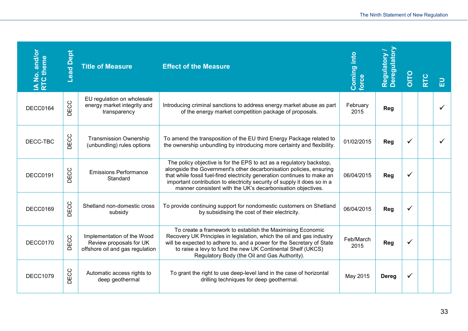| IA No. and/or<br>RTC theme | <b>Lead Dept</b> | <b>Title of Measure</b>                                                                  | <b>Effect of the Measure</b>                                                                                                                                                                                                                                                                                                                                       | Coming into<br>force | <b>Regulatory</b><br>Deregulator | DILO | RTC | 品 |
|----------------------------|------------------|------------------------------------------------------------------------------------------|--------------------------------------------------------------------------------------------------------------------------------------------------------------------------------------------------------------------------------------------------------------------------------------------------------------------------------------------------------------------|----------------------|----------------------------------|------|-----|---|
| <b>DECC0164</b>            | DECC             | EU regulation on wholesale<br>energy market integrity and<br>transparency                | Introducing criminal sanctions to address energy market abuse as part<br>of the energy market competition package of proposals.                                                                                                                                                                                                                                    | February<br>2015     | Reg                              |      |     |   |
| DECC-TBC                   | ECC<br>∩         | <b>Transmission Ownership</b><br>(unbundling) rules options                              | To amend the transposition of the EU third Energy Package related to<br>the ownership unbundling by introducing more certainty and flexibility.                                                                                                                                                                                                                    | 01/02/2015           | Reg                              | ✓    |     |   |
| <b>DECC0191</b>            | DECC             | <b>Emissions Performance</b><br>Standard                                                 | The policy objective is for the EPS to act as a regulatory backstop,<br>alongside the Government's other decarbonisation policies, ensuring<br>that while fossil fuel-fired electricity generation continues to make an<br>important contribution to electricity security of supply it does so in a<br>manner consistent with the UK's decarbonisation objectives. | 06/04/2015           | Reg                              | ✓    |     |   |
| <b>DECC0169</b>            | ECC<br>$\cap$    | Shetland non-domestic cross<br>subsidy                                                   | To provide continuing support for nondomestic customers on Shetland<br>by subsidising the cost of their electricity.                                                                                                                                                                                                                                               | 06/04/2015           | Reg                              | ✓    |     |   |
| <b>DECC0170</b>            | DECC             | Implementation of the Wood<br>Review proposals for UK<br>offshore oil and gas regulation | To create a framework to establish the Maximising Economic<br>Recovery UK Principles in legislation, which the oil and gas industry<br>will be expected to adhere to, and a power for the Secretary of State<br>to raise a levy to fund the new UK Continental Shelf (UKCS)<br>Regulatory Body (the Oil and Gas Authority).                                        | Feb/March<br>2015    | <b>Reg</b>                       | ✓    |     |   |
| <b>DECC1079</b>            | DECC             | Automatic access rights to<br>deep geothermal                                            | To grant the right to use deep-level land in the case of horizontal<br>drilling techniques for deep geothermal.                                                                                                                                                                                                                                                    | May 2015             | <b>Dereg</b>                     | ✓    |     |   |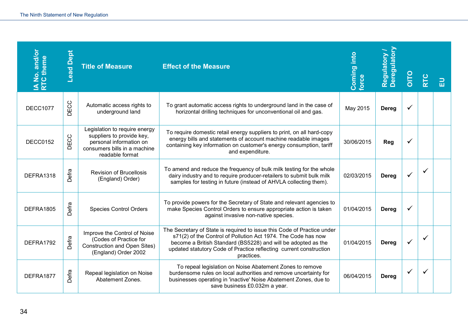| A No. and/or<br><b>RTC theme</b> | ead Dept | <b>Title of Measure</b>                                                                                                                  | <b>Effect of the Measure</b>                                                                                                                                                                                                                                                                  | Coming into<br>force | Deregulato<br><b>Regulator</b> | <b>OllO</b>  | <b>RTC</b>   | 品 |
|----------------------------------|----------|------------------------------------------------------------------------------------------------------------------------------------------|-----------------------------------------------------------------------------------------------------------------------------------------------------------------------------------------------------------------------------------------------------------------------------------------------|----------------------|--------------------------------|--------------|--------------|---|
| <b>DECC1077</b>                  | ECC<br>∩ | Automatic access rights to<br>underground land                                                                                           | To grant automatic access rights to underground land in the case of<br>horizontal drilling techniques for unconventional oil and gas.                                                                                                                                                         | May 2015             | <b>Dereg</b>                   | $\checkmark$ |              |   |
| <b>DECC0152</b>                  | ECC<br>ō | Legislation to require energy<br>suppliers to provide key,<br>personal information on<br>consumers bills in a machine<br>readable format | To require domestic retail energy suppliers to print, on all hard-copy<br>energy bills and statements of account machine readable images<br>containing key information on customer's energy consumption, tariff<br>and expenditure.                                                           | 30/06/2015           | Reg                            | ✓            |              |   |
| DEFRA1318                        | Defra    | <b>Revision of Brucellosis</b><br>(England) Order)                                                                                       | To amend and reduce the frequency of bulk milk testing for the whole<br>dairy industry and to require producer-retailers to submit bulk milk<br>samples for testing in future (instead of AHVLA collecting them).                                                                             | 02/03/2015           | <b>Dereg</b>                   |              |              |   |
| DEFRA1805                        | Defra    | <b>Species Control Orders</b>                                                                                                            | To provide powers for the Secretary of State and relevant agencies to<br>make Species Control Orders to ensure appropriate action is taken<br>against invasive non-native species.                                                                                                            | 01/04/2015           | Dereg                          | ✓            |              |   |
| DEFRA1792                        | Defra    | Improve the Control of Noise<br>(Codes of Practice for<br><b>Construction and Open Sites)</b><br>(England) Order 2002                    | The Secretary of State is required to issue this Code of Practice under<br>s71(2) of the Control of Pollution Act 1974. The Code has now<br>become a British Standard (BS5228) and will be adopted as the<br>updated statutory Code of Practice reflecting current construction<br>practices. | 01/04/2015           | <b>Dereg</b>                   | ✓            |              |   |
| DEFRA1877                        | Defra    | Repeal legislation on Noise<br>Abatement Zones.                                                                                          | To repeal legislation on Noise Abatement Zones to remove<br>burdensome rules on local authorities and remove uncertainty for<br>businesses operating in 'inactive' Noise Abatement Zones, due to<br>save business £0.032m a year.                                                             | 06/04/2015           | <b>Dereg</b>                   | ✓            | $\checkmark$ |   |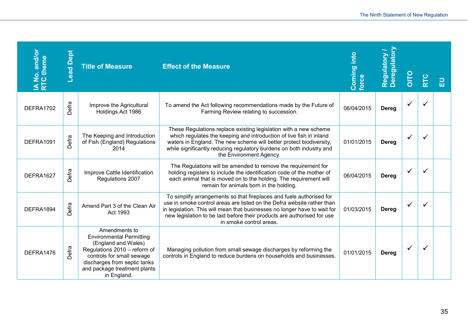| No. and/or<br><b>RTC theme</b> | <b>Lead Dept</b> | <b>Title of Measure</b>                                                                                                                                                                                             | <b>Effect of the Measure</b>                                                                                                                                                                                                                                                                                                      | Coming into<br>force | Deregulato<br>Regulato | D<br>Tio | <b>RTC</b>   | 品 |
|--------------------------------|------------------|---------------------------------------------------------------------------------------------------------------------------------------------------------------------------------------------------------------------|-----------------------------------------------------------------------------------------------------------------------------------------------------------------------------------------------------------------------------------------------------------------------------------------------------------------------------------|----------------------|------------------------|----------|--------------|---|
| DEFRA1702                      | Defra            | Improve the Agricultural<br>Holdings Act 1986                                                                                                                                                                       | To amend the Act following recommendations made by the Future of<br>Farming Review relating to succession.                                                                                                                                                                                                                        | 06/04/2015           | Dereg                  |          | ✓            |   |
| DEFRA1091                      | Defra            | The Keeping and Introduction<br>of Fish (England) Regulations<br>2014                                                                                                                                               | These Regulations replace existing legislation with a new scheme<br>which regulates the keeping and introduction of live fish in inland<br>waters in England. The new scheme will better protect biodiversity,<br>while significantly reducing regulatory burdens on both industry and<br>the Environment Agency.                 | 01/01/2015           | <b>Dereg</b>           |          | ✓            |   |
| DEFRA1627                      | Defra            | Improve Cattle Identification<br>Regulations 2007                                                                                                                                                                   | The Regulations will be amended to remove the requirement for<br>holding registers to include the identification code of the mother of<br>each animal that is moved on to the holding. The requirement will<br>remain for animals born in the holding.                                                                            | 06/04/2015           | Dereg                  |          |              |   |
| DEFRA1894                      | Defra            | Amend Part 3 of the Clean Air<br>Act 1993                                                                                                                                                                           | To simplify arrangements so that fireplaces and fuels authorised for<br>use in smoke control areas are listed on the Defra website rather than<br>in legislation. This will mean that businesses no longer have to wait for<br>new legislation to be laid before their products are authorised for use<br>in smoke control areas. | 01/03/2015           | <b>Dereg</b>           |          |              |   |
| DEFRA1476                      | Defra            | Amendments to<br><b>Environmental Permitting</b><br>(England and Wales)<br>Regulations 2010 - reform of<br>controls for small sewage<br>discharges from septic tanks<br>and package treatment plants<br>in England. | Managing pollution from small sewage discharges by reforming the<br>controls in England to reduce burdens on households and businesses.                                                                                                                                                                                           | 01/01/2015           | <b>Dereg</b>           |          | $\checkmark$ |   |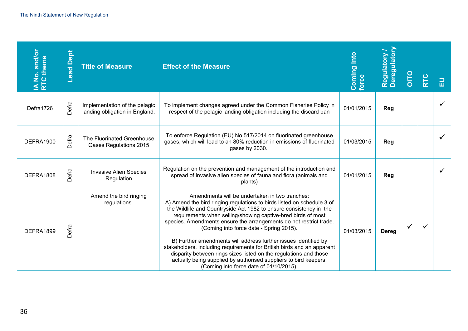| IA No. and/or<br>RTC theme | ead Dept  | <b>Title of Measure</b>                                         | <b>Effect of the Measure</b>                                                                                                                                                                                                                                                                                                                                                                                                                                                                                                                                                                                                                                                                                     | Coming into<br>force | Regulatory<br>Deregulator | OILO | 믒 |
|----------------------------|-----------|-----------------------------------------------------------------|------------------------------------------------------------------------------------------------------------------------------------------------------------------------------------------------------------------------------------------------------------------------------------------------------------------------------------------------------------------------------------------------------------------------------------------------------------------------------------------------------------------------------------------------------------------------------------------------------------------------------------------------------------------------------------------------------------------|----------------------|---------------------------|------|---|
| Defra1726                  | Defra     | Implementation of the pelagic<br>landing obligation in England. | To implement changes agreed under the Common Fisheries Policy in<br>respect of the pelagic landing obligation including the discard ban                                                                                                                                                                                                                                                                                                                                                                                                                                                                                                                                                                          | 01/01/2015           | Reg                       |      |   |
| DEFRA1900                  | Defra     | The Fluorinated Greenhouse<br>Gases Regulations 2015            | To enforce Regulation (EU) No 517/2014 on fluorinated greenhouse<br>gases, which will lead to an 80% reduction in emissions of fluorinated<br>gases by 2030.                                                                                                                                                                                                                                                                                                                                                                                                                                                                                                                                                     | 01/03/2015           | Reg                       |      |   |
| DEFRA1808                  | efra<br>∩ | <b>Invasive Alien Species</b><br>Regulation                     | Regulation on the prevention and management of the introduction and<br>spread of invasive alien species of fauna and flora (animals and<br>plants)                                                                                                                                                                                                                                                                                                                                                                                                                                                                                                                                                               | 01/01/2015           | Reg                       |      |   |
| DEFRA1899                  | Defra     | Amend the bird ringing<br>regulations.                          | Amendments will be undertaken in two tranches:<br>A) Amend the bird ringing regulations to birds listed on schedule 3 of<br>the Wildlife and Countryside Act 1982 to ensure consistency in the<br>requirements when selling/showing captive-bred birds of most<br>species. Amendments ensure the arrangements do not restrict trade.<br>(Coming into force date - Spring 2015).<br>B) Further amendments will address further issues identified by<br>stakeholders, including requirements for British birds and an apparent<br>disparity between rings sizes listed on the regulations and those<br>actually being supplied by authorised suppliers to bird keepers.<br>(Coming into force date of 01/10/2015). | 01/03/2015           | <b>Dereg</b>              |      |   |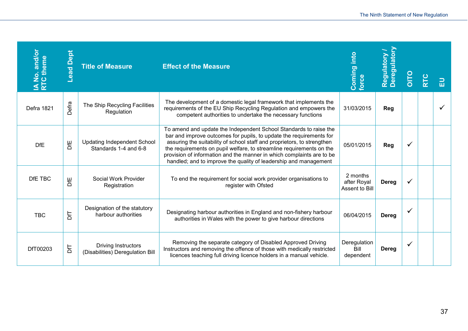| No. and/or<br><b>RTC theme</b> | ead Dept  | <b>Title of Measure</b>                                        | <b>Effect of the Measure</b>                                                                                                                                                                                                                                                                                                                                                                                                             | Coming into<br><b>Force</b>               | Deregulat<br>Regulato |              | <b>RTC</b> | 品 |
|--------------------------------|-----------|----------------------------------------------------------------|------------------------------------------------------------------------------------------------------------------------------------------------------------------------------------------------------------------------------------------------------------------------------------------------------------------------------------------------------------------------------------------------------------------------------------------|-------------------------------------------|-----------------------|--------------|------------|---|
| Defra 1821                     | Defra     | The Ship Recycling Facilities<br>Regulation                    | The development of a domestic legal framework that implements the<br>requirements of the EU Ship Recycling Regulation and empowers the<br>competent authorities to undertake the necessary functions                                                                                                                                                                                                                                     | 31/03/2015                                | Reg                   |              |            |   |
| <b>DfE</b>                     | <b>BE</b> | <b>Updating Independent School</b><br>Standards 1-4 and 6-8    | To amend and update the Independent School Standards to raise the<br>bar and improve outcomes for pupils, to update the requirements for<br>assuring the suitability of school staff and proprietors, to strengthen<br>the requirements on pupil welfare, to streamline requirements on the<br>provision of information and the manner in which complaints are to be<br>handled; and to improve the quality of leadership and management | 05/01/2015                                | Reg                   | ✓            |            |   |
| DIE TBC                        | DΈ        | Social Work Provider<br>Registration                           | To end the requirement for social work provider organisations to<br>register with Ofsted                                                                                                                                                                                                                                                                                                                                                 | 2 months<br>after Royal<br>Assent to Bill | Dereg                 | ✓            |            |   |
| <b>TBC</b>                     | ΗĆ        | Designation of the statutory<br>harbour authorities            | Designating harbour authorities in England and non-fishery harbour<br>authorities in Wales with the power to give harbour directions                                                                                                                                                                                                                                                                                                     | 06/04/2015                                | Dereg                 |              |            |   |
| DfT00203                       | 声         | <b>Driving Instructors</b><br>(Disabilities) Deregulation Bill | Removing the separate category of Disabled Approved Driving<br>Instructors and removing the offence of those with medically restricted<br>licences teaching full driving licence holders in a manual vehicle.                                                                                                                                                                                                                            | Deregulation<br>Bill<br>dependent         | Dereg                 | $\checkmark$ |            |   |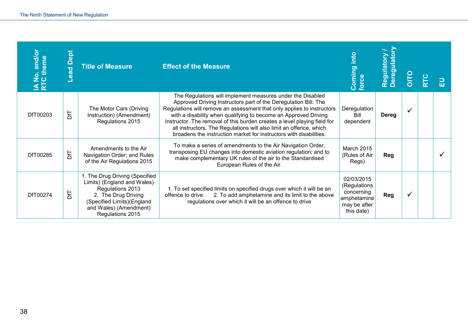| and/or<br>IA No. and/d<br>RTC theme | ead Dep | <b>Title of Measure</b>                                                                                                                                                              | <b>Effect of the Measure</b>                                                                                                                                                                                                                                                                                                                                                                                                                                                                       | <u>oqui</u><br>Coming<br>force                                                        | Regulator<br>Deregulat | O<br>IO<br>O | 品 |
|-------------------------------------|---------|--------------------------------------------------------------------------------------------------------------------------------------------------------------------------------------|----------------------------------------------------------------------------------------------------------------------------------------------------------------------------------------------------------------------------------------------------------------------------------------------------------------------------------------------------------------------------------------------------------------------------------------------------------------------------------------------------|---------------------------------------------------------------------------------------|------------------------|--------------|---|
| DfT00203                            | 동       | The Motor Cars (Driving<br>Instruction) (Amendment)<br>Regulations 2015                                                                                                              | The Regulations will implement measures under the Disabled<br>Approved Driving Instructors part of the Deregulation Bill. The<br>Regulations will remove an assessment that only applies to instructors<br>with a disability when qualifying to become an Approved Driving<br>Instructor. The removal of this burden creates a level playing field for<br>all instructors. The Regulations will also limit an offence, which<br>broadens the instruction market for instructors with disabilities. | Deregulation<br>Bill<br>dependent                                                     | Dereg                  |              |   |
| DfT00285                            | 동       | Amendments to the Air<br>Navigation Order; and Rules<br>of the Air Regulations 2015                                                                                                  | To make a series of amendments to the Air Navigation Order,<br>transposing EU changes into domestic aviation regulation; and to<br>make complementary UK rules of the air to the Standardised<br>European Rules of the Air.                                                                                                                                                                                                                                                                        | <b>March 2015</b><br>(Rules of Air<br>Regs)                                           | Reg                    |              |   |
| DfT00274                            | БT      | 1. The Drug Driving (Specified<br>Limits) (England and Wales)<br>Regulations 2013<br>2. The Drug Driving<br>(Specified Limits)(England<br>and Wales) (Amendment)<br>Regulations 2015 | 1. To set specified limits on specified drugs over which it will be an<br>offence to drive.<br>2. To add amphetamine and its limit to the above<br>regulations over which it will be an offence to drive                                                                                                                                                                                                                                                                                           | 02/03/2015<br>(Regulations<br>concerning<br>amphetamine<br>may be after<br>this date) | Reg                    |              |   |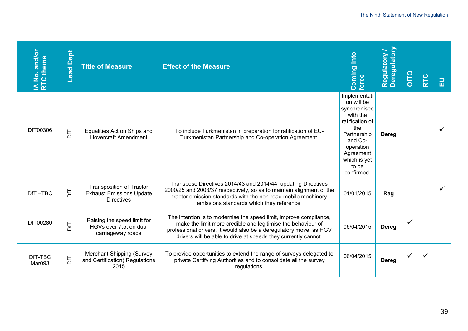| IA No. and/or<br>RTC theme | <b>Lead Dept</b> | <b>Title of Measure</b>                                                                 | <b>Effect of the Measure</b>                                                                                                                                                                                                                                               | Coming into<br>force                                                                                                                                                        | Regulatory<br>Deregulator | OILO | ပ<br>က | 品 |
|----------------------------|------------------|-----------------------------------------------------------------------------------------|----------------------------------------------------------------------------------------------------------------------------------------------------------------------------------------------------------------------------------------------------------------------------|-----------------------------------------------------------------------------------------------------------------------------------------------------------------------------|---------------------------|------|--------|---|
| DfT00306                   | 声                | Equalities Act on Ships and<br><b>Hovercraft Amendment</b>                              | To include Turkmenistan in preparation for ratification of EU-<br>Turkmenistan Partnership and Co-operation Agreement.                                                                                                                                                     | Implementati<br>on will be<br>synchronised<br>with the<br>ratification of<br>the<br>Partnership<br>and Co-<br>operation<br>Agreement<br>which is yet<br>to be<br>confirmed. | <b>Dereg</b>              |      |        |   |
| DfT-TBC                    | ਸੋ               | <b>Transposition of Tractor</b><br><b>Exhaust Emissions Update</b><br><b>Directives</b> | Transpose Directives 2014/43 and 2014/44, updating Directives<br>2000/25 and 2003/37 respectively, so as to maintain alignment of the<br>tractor emission standards with the non-road mobile machinery<br>emissions standards which they reference.                        | 01/01/2015                                                                                                                                                                  | <b>Reg</b>                |      |        |   |
| DfT00280                   | Ъf               | Raising the speed limit for<br>HGVs over 7.5t on dual<br>carriageway roads              | The intention is to modernise the speed limit, improve compliance,<br>make the limit more credible and legitimise the behaviour of<br>professional drivers. It would also be a deregulatory move, as HGV<br>drivers will be able to drive at speeds they currently cannot. | 06/04/2015                                                                                                                                                                  | <b>Dereg</b>              | ✓    |        |   |
| DfT-TBC<br>Mar093          | Ъf               | Merchant Shipping (Survey<br>and Certification) Regulations<br>2015                     | To provide opportunities to extend the range of surveys delegated to<br>private Certifying Authorities and to consolidate all the survey<br>regulations.                                                                                                                   | 06/04/2015                                                                                                                                                                  | <b>Dereg</b>              |      |        |   |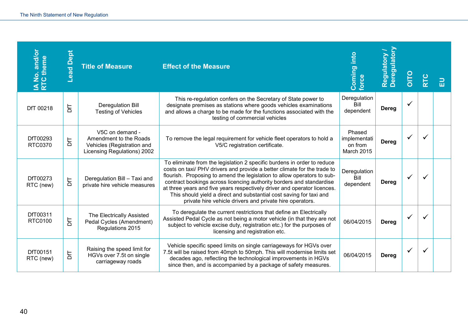| IA No. and/or<br>RTC theme | ead Dept       | <b>Title of Measure</b>                                                                                | <b>Effect of the Measure</b>                                                                                                                                                                                                                                                                                                                                                                                                                                                                                          | Coming into<br>force                                   | <b>Regulatory</b><br>Deregulator |   | <b>RTC</b>   | 品 |
|----------------------------|----------------|--------------------------------------------------------------------------------------------------------|-----------------------------------------------------------------------------------------------------------------------------------------------------------------------------------------------------------------------------------------------------------------------------------------------------------------------------------------------------------------------------------------------------------------------------------------------------------------------------------------------------------------------|--------------------------------------------------------|----------------------------------|---|--------------|---|
| DfT 00218                  | 声              | Deregulation Bill<br><b>Testing of Vehicles</b>                                                        | This re-regulation confers on the Secretary of State power to<br>designate premises as stations where goods vehicles examinations<br>and allows a charge to be made for the functions associated with the<br>testing of commercial vehicles                                                                                                                                                                                                                                                                           | Deregulation<br>Bill<br>dependent                      | <b>Dereg</b>                     | ✓ |              |   |
| DfT00293<br>RTC0370        | 声              | V5C on demand -<br>Amendment to the Roads<br>Vehicles (Registration and<br>Licensing Regulations) 2002 | To remove the legal requirement for vehicle fleet operators to hold a<br>V5/C registration certificate.                                                                                                                                                                                                                                                                                                                                                                                                               | Phased<br>implementati<br>on from<br><b>March 2015</b> | <b>Dereg</b>                     | ✓ |              |   |
| DfT00273<br>RTC (new)      | 5 <sup>1</sup> | Deregulation Bill - Taxi and<br>private hire vehicle measures                                          | To eliminate from the legislation 2 specific burdens in order to reduce<br>costs on taxi/ PHV drivers and provide a better climate for the trade to<br>flourish. Proposing to amend the legislation to allow operators to sub-<br>contract bookings across licencing authority borders and standardise<br>at three years and five years respectively driver and operator licences.<br>This should yield a direct and substantial cost saving for taxi and<br>private hire vehicle drivers and private hire operators. | Deregulation<br>Bill<br>dependent                      | Dereg                            | ✓ | $\checkmark$ |   |
| DfT00311<br>RTC0100        | 동              | The Electrically Assisted<br>Pedal Cycles (Amendment)<br>Regulations 2015                              | To deregulate the current restrictions that define an Electrically<br>Assisted Pedal Cycle as not being a motor vehicle (in that they are not<br>subject to vehicle excise duty, registration etc.) for the purposes of<br>licensing and registration etc.                                                                                                                                                                                                                                                            | 06/04/2015                                             | <b>Dereg</b>                     |   |              |   |
| DfT00151<br>RTC (new)      | 5 <sup>1</sup> | Raising the speed limit for<br>HGVs over 7.5t on single<br>carriageway roads                           | Vehicle specific speed limits on single carriageways for HGVs over<br>7.5t will be raised from 40mph to 50mph. This will modernise limits set<br>decades ago, reflecting the technological improvements in HGVs<br>since then, and is accompanied by a package of safety measures.                                                                                                                                                                                                                                    | 06/04/2015                                             | Dereg                            | ✓ | $\checkmark$ |   |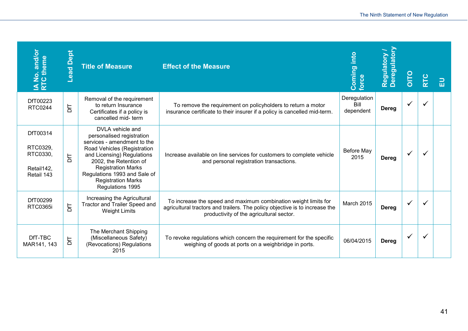| No. and/or<br>IA No. and/d<br>RTC theme                      | <b>Lead Dept</b> | <b>Title of Measure</b>                                                                                                                                                                                                                                                           | <b>Effect of the Measure</b>                                                                                                                                                               | Coming into<br>force              | Regulatory<br>Deregulator | OILO         | <b>RTC</b> | 品 |
|--------------------------------------------------------------|------------------|-----------------------------------------------------------------------------------------------------------------------------------------------------------------------------------------------------------------------------------------------------------------------------------|--------------------------------------------------------------------------------------------------------------------------------------------------------------------------------------------|-----------------------------------|---------------------------|--------------|------------|---|
| DfT00223<br><b>RTC0244</b>                                   | ЪÉ               | Removal of the requirement<br>to return Insurance<br>Certificates if a policy is<br>cancelled mid-term                                                                                                                                                                            | To remove the requirement on policyholders to return a motor<br>insurance certificate to their insurer if a policy is cancelled mid-term.                                                  | Deregulation<br>Bill<br>dependent | <b>Dereg</b>              |              |            |   |
| DfT00314<br>RTC0329,<br>RTC0330,<br>Retail142,<br>Retail 143 | 55               | DVLA vehicle and<br>personalised registration<br>services - amendment to the<br>Road Vehicles (Registration<br>and Licensing) Regulations<br>2002, the Retention of<br><b>Registration Marks</b><br>Regulations 1993 and Sale of<br><b>Registration Marks</b><br>Regulations 1995 | Increase available on line services for customers to complete vehicle<br>and personal registration transactions.                                                                           | Before May<br>2015                | Dereg                     | $\checkmark$ |            |   |
| DfT00299<br><b>RTC0365i</b>                                  | 55               | Increasing the Agricultural<br>Tractor and Trailer Speed and<br><b>Weight Limits</b>                                                                                                                                                                                              | To increase the speed and maximum combination weight limits for<br>agricultural tractors and trailers. The policy objective is to increase the<br>productivity of the agricultural sector. | <b>March 2015</b>                 | <b>Dereg</b>              |              | ✓          |   |
| DfT-TBC<br>MAR141, 143                                       | Ъf               | The Merchant Shipping<br>(Miscellaneous Safety)<br>(Revocations) Regulations<br>2015                                                                                                                                                                                              | To revoke regulations which concern the requirement for the specific<br>weighing of goods at ports on a weighbridge in ports.                                                              | 06/04/2015                        | <b>Dereg</b>              |              | ✓          |   |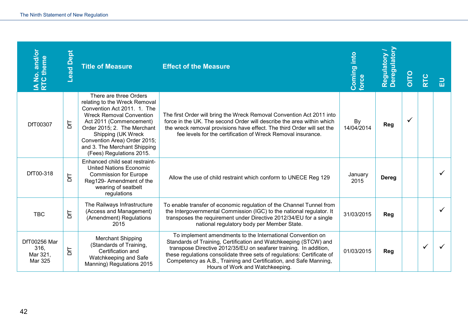| IA No. and/or<br>RTC theme                  | <b>Lead Dept</b> | <b>Title of Measure</b>                                                                                                                                                                                                                                                                               | <b>Effect of the Measure</b>                                                                                                                                                                                                                                                                                                                                                           | Coming into<br><b>force</b> | Regulatory<br>Deregulator | OITO         | <b>RTC</b> | 品 |
|---------------------------------------------|------------------|-------------------------------------------------------------------------------------------------------------------------------------------------------------------------------------------------------------------------------------------------------------------------------------------------------|----------------------------------------------------------------------------------------------------------------------------------------------------------------------------------------------------------------------------------------------------------------------------------------------------------------------------------------------------------------------------------------|-----------------------------|---------------------------|--------------|------------|---|
| DfT00307                                    | 片                | There are three Orders<br>relating to the Wreck Removal<br>Convention Act 2011, 1. The<br><b>Wreck Removal Convention</b><br>Act 2011 (Commencement)<br>Order 2015; 2. The Merchant<br>Shipping (UK Wreck<br>Convention Area) Order 2015;<br>and 3. The Merchant Shipping<br>(Fees) Regulations 2015. | The first Order will bring the Wreck Removal Convention Act 2011 into<br>force in the UK. The second Order will describe the area within which<br>the wreck removal provisions have effect. The third Order will set the<br>fee levels for the certification of Wreck Removal insurance.                                                                                               | By<br>14/04/2014            | Reg                       | $\checkmark$ |            |   |
| DfT00-318                                   | $5\overline{6}$  | Enhanced child seat restraint-<br><b>United Nations Economic</b><br><b>Commission for Europe</b><br>Reg129- Amendment of the<br>wearing of seatbelt<br>regulations                                                                                                                                    | Allow the use of child restraint which conform to UNECE Reg 129                                                                                                                                                                                                                                                                                                                        | January<br>2015             | <b>Dereg</b>              |              |            |   |
| <b>TBC</b>                                  | БŢ               | The Railways Infrastructure<br>(Access and Management)<br>(Amendment) Regulations<br>2015                                                                                                                                                                                                             | To enable transfer of economic regulation of the Channel Tunnel from<br>the Intergovernmental Commission (IGC) to the national regulator. It<br>transposes the requirement under Directive 2012/34/EU for a single<br>national regulatory body per Member State.                                                                                                                       | 31/03/2015                  | Reg                       |              |            |   |
| DfT00256 Mar<br>316,<br>Mar 321,<br>Mar 325 | БĪ               | <b>Merchant Shipping</b><br>(Standards of Training,<br>Certification and<br>Watchkeeping and Safe<br>Manning) Regulations 2015                                                                                                                                                                        | To implement amendments to the International Convention on<br>Standards of Training, Certification and Watchkeeping (STCW) and<br>transpose Directive 2012/35/EU on seafarer training. In addition,<br>these regulations consolidate three sets of regulations: Certificate of<br>Competency as A.B., Training and Certification, and Safe Manning,<br>Hours of Work and Watchkeeping. | 01/03/2015                  | Reg                       |              |            |   |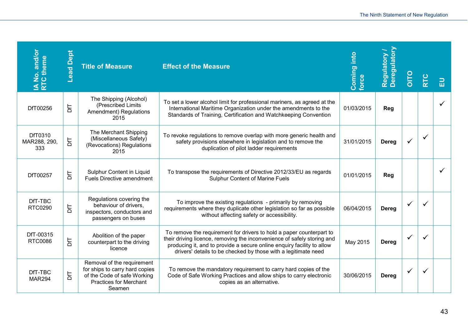| A No. and/or<br><b>RTC theme</b> | <b>Lead Dept</b> | <b>Title of Measure</b>                                                                                                                | <b>Effect of the Measure</b>                                                                                                                                                                                                                                                                | Coming into<br>force | Regulatory<br>Deregulator | OITO | <b>RTC</b>   | 긆 |
|----------------------------------|------------------|----------------------------------------------------------------------------------------------------------------------------------------|---------------------------------------------------------------------------------------------------------------------------------------------------------------------------------------------------------------------------------------------------------------------------------------------|----------------------|---------------------------|------|--------------|---|
| DfT00256                         | Бf               | The Shipping (Alcohol)<br>(Prescribed Limits<br>Amendment) Regulations<br>2015                                                         | To set a lower alcohol limit for professional mariners, as agreed at the<br>International Maritime Organization under the amendments to the<br>Standards of Training, Certification and Watchkeeping Convention                                                                             | 01/03/2015           | Reg                       |      |              |   |
| DfT0310<br>MAR288, 290,<br>333   | 声                | The Merchant Shipping<br>(Miscellaneous Safety)<br>(Revocations) Regulations<br>2015                                                   | To revoke regulations to remove overlap with more generic health and<br>safety provisions elsewhere in legislation and to remove the<br>duplication of pilot ladder requirements                                                                                                            | 31/01/2015           | <b>Dereg</b>              |      | $\checkmark$ |   |
| DfT00257                         | Бf               | Sulphur Content in Liquid<br><b>Fuels Directive amendment</b>                                                                          | To transpose the requirements of Directive 2012/33/EU as regards<br><b>Sulphur Content of Marine Fuels</b>                                                                                                                                                                                  | 01/01/2015           | Reg                       |      |              |   |
| DfT-TBC<br><b>RTC0290</b>        | 声                | Regulations covering the<br>behaviour of drivers,<br>inspectors, conductors and<br>passengers on buses                                 | To improve the existing regulations - primarily by removing<br>requirements where they duplicate other legislation so far as possible<br>without affecting safety or accessibility.                                                                                                         | 06/04/2015           | <b>Dereg</b>              |      | ✓            |   |
| DfT-00315<br><b>RTC0086</b>      | 동                | Abolition of the paper<br>counterpart to the driving<br>licence                                                                        | To remove the requirement for drivers to hold a paper counterpart to<br>their driving licence, removing the inconvenience of safely storing and<br>producing it, and to provide a secure online enquiry facility to allow<br>drivers' details to be checked by those with a legitimate need | May 2015             | <b>Dereg</b>              |      | $\checkmark$ |   |
| DfT-TBC<br><b>MAR294</b>         | Ъf               | Removal of the requirement<br>for ships to carry hard copies<br>of the Code of safe Working<br><b>Practices for Merchant</b><br>Seamen | To remove the mandatory requirement to carry hard copies of the<br>Code of Safe Working Practices and allow ships to carry electronic<br>copies as an alternative.                                                                                                                          | 30/06/2015           | Dereg                     | v    | $\checkmark$ |   |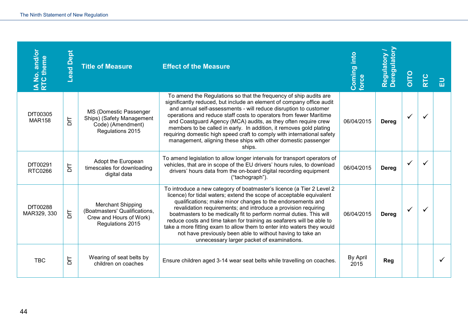| IA No. and/or<br>RTC theme | <b>Lead Dept</b> | <b>Title of Measure</b>                                                                           | <b>Effect of the Measure</b>                                                                                                                                                                                                                                                                                                                                                                                                                                                                                                                                                                                        | Coming into<br><b>Force</b> | Regulatory<br>Deregulator |   | ن<br>الا     | 品 |
|----------------------------|------------------|---------------------------------------------------------------------------------------------------|---------------------------------------------------------------------------------------------------------------------------------------------------------------------------------------------------------------------------------------------------------------------------------------------------------------------------------------------------------------------------------------------------------------------------------------------------------------------------------------------------------------------------------------------------------------------------------------------------------------------|-----------------------------|---------------------------|---|--------------|---|
| DfT00305<br><b>MAR158</b>  | Ъf               | MS (Domestic Passenger<br>Ships) (Safety Management<br>Code) (Amendment)<br>Regulations 2015      | To amend the Regulations so that the frequency of ship audits are<br>significantly reduced, but include an element of company office audit<br>and annual self-assessments - will reduce disruption to customer<br>operations and reduce staff costs to operators from fewer Maritime<br>and Coastguard Agency (MCA) audits, as they often require crew<br>members to be called in early. In addition, it removes gold plating<br>requiring domestic high speed craft to comply with international safety<br>management, aligning these ships with other domestic passenger<br>ships.                                | 06/04/2015                  | <b>Dereg</b>              | ✓ | $\checkmark$ |   |
| DfT00291<br><b>RTC0266</b> | $\overline{5}$   | Adopt the European<br>timescales for downloading<br>digital data                                  | To amend legislation to allow longer intervals for transport operators of<br>vehicles, that are in scope of the EU drivers' hours rules, to download<br>drivers' hours data from the on-board digital recording equipment<br>("tachograph").                                                                                                                                                                                                                                                                                                                                                                        | 06/04/2015                  | Dereg                     | ✓ |              |   |
| DfT00288<br>MAR329, 330    | 声                | Merchant Shipping<br>(Boatmasters' Qualifications,<br>Crew and Hours of Work)<br>Regulations 2015 | To introduce a new category of boatmaster's licence (a Tier 2 Level 2<br>licence) for tidal waters; extend the scope of acceptable equivalent<br>qualifications; make minor changes to the endorsements and<br>revalidation requirements; and introduce a provision requiring<br>boatmasters to be medically fit to perform normal duties. This will<br>reduce costs and time taken for training as seafarers will be able to<br>take a more fitting exam to allow them to enter into waters they would<br>not have previously been able to without having to take an<br>unnecessary larger packet of examinations. | 06/04/2015                  | Dereg                     |   |              |   |
| <b>TBC</b>                 | 声                | Wearing of seat belts by<br>children on coaches                                                   | Ensure children aged 3-14 wear seat belts while travelling on coaches.                                                                                                                                                                                                                                                                                                                                                                                                                                                                                                                                              | By April<br>2015            | <b>Reg</b>                |   |              |   |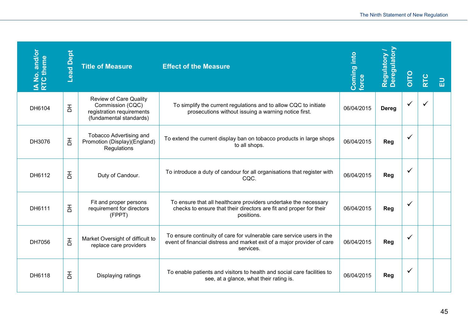| IA No. and/or<br>RTC theme | <b>Lead Dept</b> | <b>Title of Measure</b>                                                                                   | <b>Effect of the Measure</b>                                                                                                                                  | Coming into<br>force | Regulatory<br>Deregulator | OITO | RTC          | 品 |
|----------------------------|------------------|-----------------------------------------------------------------------------------------------------------|---------------------------------------------------------------------------------------------------------------------------------------------------------------|----------------------|---------------------------|------|--------------|---|
| DH6104                     | 품                | <b>Review of Care Quality</b><br>Commission (CQC)<br>registration requirements<br>(fundamental standards) | To simplify the current regulations and to allow CQC to initiate<br>prosecutions without issuing a warning notice first.                                      | 06/04/2015           | <b>Dereg</b>              | ✓    | $\checkmark$ |   |
| DH3076                     | 품                | Tobacco Advertising and<br>Promotion (Display)(England)<br>Regulations                                    | To extend the current display ban on tobacco products in large shops<br>to all shops.                                                                         | 06/04/2015           | Reg                       | ✓    |              |   |
| DH6112                     | 품                | Duty of Candour.                                                                                          | To introduce a duty of candour for all organisations that register with<br>CQC.                                                                               | 06/04/2015           | Reg                       | ✓    |              |   |
| DH6111                     | 동                | Fit and proper persons<br>requirement for directors<br>(FPPT)                                             | To ensure that all healthcare providers undertake the necessary<br>checks to ensure that their directors are fit and proper for their<br>positions.           | 06/04/2015           | Reg                       | ✓    |              |   |
| DH7056                     | 품                | Market Oversight of difficult to<br>replace care providers                                                | To ensure continuity of care for vulnerable care service users in the<br>event of financial distress and market exit of a major provider of care<br>services. | 06/04/2015           | Reg                       | ✓    |              |   |
| DH6118                     | 품                | Displaying ratings                                                                                        | To enable patients and visitors to health and social care facilities to<br>see, at a glance, what their rating is.                                            | 06/04/2015           | Reg                       | ✓    |              |   |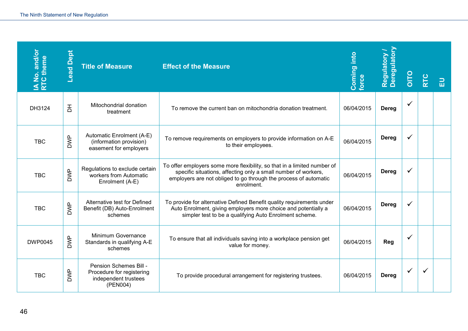| IA No. and/or<br>RTC theme | <b>Lead Dept</b> | <b>Title of Measure</b>                                                                 | <b>Effect of the Measure</b>                                                                                                                                                                                                 | Coming into<br>force | Regulatory /<br>Deregulator <sub>,</sub> | OITO         | <b>RTC</b>   | $ \Xi $ |
|----------------------------|------------------|-----------------------------------------------------------------------------------------|------------------------------------------------------------------------------------------------------------------------------------------------------------------------------------------------------------------------------|----------------------|------------------------------------------|--------------|--------------|---------|
| DH3124                     | 품                | Mitochondrial donation<br>treatment                                                     | To remove the current ban on mitochondria donation treatment.                                                                                                                                                                | 06/04/2015           | <b>Dereg</b>                             | $\checkmark$ |              |         |
| <b>TBC</b>                 | DWP              | Automatic Enrolment (A-E)<br>(information provision)<br>easement for employers          | To remove requirements on employers to provide information on A-E<br>to their employees.                                                                                                                                     | 06/04/2015           | Dereg                                    | ✓            |              |         |
| <b>TBC</b>                 | DWP              | Regulations to exclude certain<br>workers from Automatic<br>Enrolment (A-E)             | To offer employers some more flexibility, so that in a limited number of<br>specific situations, affecting only a small number of workers,<br>employers are not obliged to go through the process of automatic<br>enrolment. | 06/04/2015           | <b>Dereg</b>                             | ✓            |              |         |
| <b>TBC</b>                 | <b>DWP</b>       | Alternative test for Defined<br>Benefit (DB) Auto-Enrolment<br>schemes                  | To provide for alternative Defined Benefit quality requirements under<br>Auto Enrolment, giving employers more choice and potentially a<br>simpler test to be a qualifying Auto Enrolment scheme.                            | 06/04/2015           | <b>Dereg</b>                             | ✓            |              |         |
| <b>DWP0045</b>             | <b>DWP</b>       | Minimum Governance<br>Standards in qualifying A-E<br>schemes                            | To ensure that all individuals saving into a workplace pension get<br>value for money.                                                                                                                                       | 06/04/2015           | Reg                                      | ✓            |              |         |
| <b>TBC</b>                 | DWP              | Pension Schemes Bill -<br>Procedure for registering<br>independent trustees<br>(PEN004) | To provide procedural arrangement for registering trustees.                                                                                                                                                                  | 06/04/2015           | <b>Dereg</b>                             | ✓            | $\checkmark$ |         |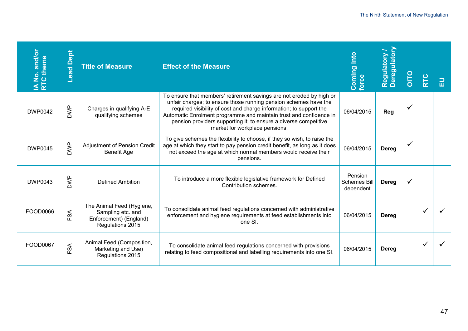| and/or<br><b>RTC theme</b><br><u>ior</u> | ead Dept                      | <b>Title of Measure</b>                                                                      | <b>Effect of the Measure</b>                                                                                                                                                                                                                                                                                                                                                               | Coming into<br><b>Force</b>                 | Deregulato<br>Regulatory | O<br>IO<br>O | <b>RTC</b>   | 品 |
|------------------------------------------|-------------------------------|----------------------------------------------------------------------------------------------|--------------------------------------------------------------------------------------------------------------------------------------------------------------------------------------------------------------------------------------------------------------------------------------------------------------------------------------------------------------------------------------------|---------------------------------------------|--------------------------|--------------|--------------|---|
| <b>DWP0042</b>                           | DWP                           | Charges in qualifying A-E<br>qualifying schemes                                              | To ensure that members' retirement savings are not eroded by high or<br>unfair charges; to ensure those running pension schemes have the<br>required visibility of cost and charge information; to support the<br>Automatic Enrolment programme and maintain trust and confidence in<br>pension providers supporting it; to ensure a diverse competitive<br>market for workplace pensions. | 06/04/2015                                  | Reg                      |              |              |   |
| <b>DWP0045</b>                           | DWP                           | <b>Adjustment of Pension Credit</b><br><b>Benefit Age</b>                                    | To give schemes the flexibility to choose, if they so wish, to raise the<br>age at which they start to pay pension credit benefit, as long as it does<br>not exceed the age at which normal members would receive their<br>pensions.                                                                                                                                                       | 06/04/2015                                  | <b>Dereg</b>             | v            |              |   |
| <b>DWP0043</b>                           | <b>DWP</b>                    | <b>Defined Ambition</b>                                                                      | To introduce a more flexible legislative framework for Defined<br>Contribution schemes.                                                                                                                                                                                                                                                                                                    | Pension<br><b>Schemes Bill</b><br>dependent | <b>Dereg</b>             |              |              |   |
| FOOD0066                                 | $\mathbb{S}^\mathsf{A}$<br>ĹĹ | The Animal Feed (Hygiene,<br>Sampling etc. and<br>Enforcement) (England)<br>Regulations 2015 | To consolidate animal feed regulations concerned with administrative<br>enforcement and hygiene requirements at feed establishments into<br>one SI.                                                                                                                                                                                                                                        | 06/04/2015                                  | Dereg                    |              | ✓            |   |
| FOOD0067                                 | $\Im$<br>п.                   | Animal Feed (Composition,<br>Marketing and Use)<br>Regulations 2015                          | To consolidate animal feed regulations concerned with provisions<br>relating to feed compositional and labelling requirements into one SI.                                                                                                                                                                                                                                                 | 06/04/2015                                  | <b>Dereg</b>             |              | $\checkmark$ |   |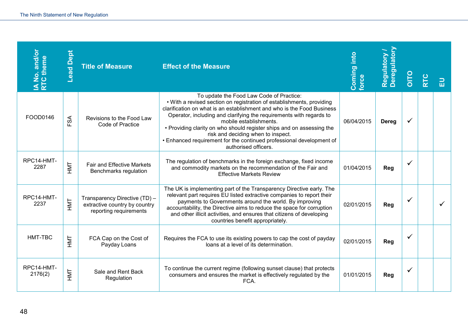| No. and/or<br><b>RTC theme</b> | ead Dept                        | <b>Title of Measure</b>                                                                  | <b>Effect of the Measure</b>                                                                                                                                                                                                                                                                                                                                                                                                                                                                                | Coming into<br>force | <b>Regulatory</b><br>Deregulator | OILO | <b>RTC</b> | 믒 |
|--------------------------------|---------------------------------|------------------------------------------------------------------------------------------|-------------------------------------------------------------------------------------------------------------------------------------------------------------------------------------------------------------------------------------------------------------------------------------------------------------------------------------------------------------------------------------------------------------------------------------------------------------------------------------------------------------|----------------------|----------------------------------|------|------------|---|
| FOOD0146                       | $\mathbb{S}^{\mathbb{C}}$<br>ΗĹ | Revisions to the Food Law<br>Code of Practice                                            | To update the Food Law Code of Practice:<br>. With a revised section on registration of establishments, providing<br>clarification on what is an establishment and who is the Food Business<br>Operator, including and clarifying the requirements with regards to<br>mobile establishments.<br>• Providing clarity on who should register ships and on assessing the<br>risk and deciding when to inspect.<br>• Enhanced requirement for the continued professional development of<br>authorised officers. | 06/04/2015           | <b>Dereg</b>                     | ✓    |            |   |
| RPC14-HMT-<br>2287             | TMH                             | <b>Fair and Effective Markets</b><br>Benchmarks regulation                               | The regulation of benchmarks in the foreign exchange, fixed income<br>and commodity markets on the recommendation of the Fair and<br><b>Effective Markets Review</b>                                                                                                                                                                                                                                                                                                                                        | 01/04/2015           | Reg                              |      |            |   |
| RPC14-HMT-<br>2237             | TMH                             | Transparency Directive (TD) -<br>extractive country by country<br>reporting requirements | The UK is implementing part of the Transparency Directive early. The<br>relevant part requires EU listed extractive companies to report their<br>payments to Governments around the world. By improving<br>accountability, the Directive aims to reduce the space for corruption<br>and other illicit activities, and ensures that citizens of developing<br>countries benefit appropriately.                                                                                                               | 02/01/2015           | Reg                              | ✓    |            |   |
| HMT-TBC                        | TIMH                            | FCA Cap on the Cost of<br>Payday Loans                                                   | Requires the FCA to use its existing powers to cap the cost of payday<br>loans at a level of its determination.                                                                                                                                                                                                                                                                                                                                                                                             | 02/01/2015           | Reg                              | ✓    |            |   |
| RPC14-HMT-<br>2176(2)          | TMH                             | Sale and Rent Back<br>Regulation                                                         | To continue the current regime (following sunset clause) that protects<br>consumers and ensures the market is effectively regulated by the<br>FCA.                                                                                                                                                                                                                                                                                                                                                          | 01/01/2015           | Reg                              | ✓    |            |   |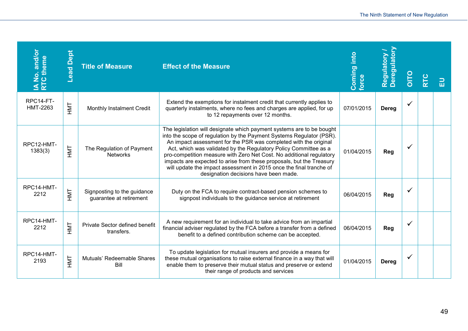| IA No. and/or<br>RTC theme   | <b>Lead Dept</b> | <b>Title of Measure</b>                                | <b>Effect of the Measure</b>                                                                                                                                                                                                                                                                                                                                                                                                                                                                                                                          | Coming into<br>force | <b>Regulatory</b><br>Deregulator |   | <b>RTC</b> | 品 |
|------------------------------|------------------|--------------------------------------------------------|-------------------------------------------------------------------------------------------------------------------------------------------------------------------------------------------------------------------------------------------------------------------------------------------------------------------------------------------------------------------------------------------------------------------------------------------------------------------------------------------------------------------------------------------------------|----------------------|----------------------------------|---|------------|---|
| RPC14-FT-<br><b>HMT-2263</b> | TMH              | Monthly Instalment Credit                              | Extend the exemptions for instalment credit that currently applies to<br>quarterly instalments, where no fees and charges are applied, for up<br>to 12 repayments over 12 months.                                                                                                                                                                                                                                                                                                                                                                     | 07/01/2015           | Dereg                            |   |            |   |
| RPC12-HMT-<br>1383(3)        | TMH              | The Regulation of Payment<br><b>Networks</b>           | The legislation will designate which payment systems are to be bought<br>into the scope of regulation by the Payment Systems Regulator (PSR).<br>An impact assessment for the PSR was completed with the original<br>Act, which was validated by the Regulatory Policy Committee as a<br>pro-competition measure with Zero Net Cost. No additional regulatory<br>impacts are expected to arise from these proposals, but the Treasury<br>will update the impact assessment in 2015 once the final tranche of<br>designation decisions have been made. | 01/04/2015           | Reg                              |   |            |   |
| RPC14-HMT-<br>2212           | TMH              | Signposting to the guidance<br>guarantee at retirement | Duty on the FCA to require contract-based pension schemes to<br>signpost individuals to the guidance service at retirement                                                                                                                                                                                                                                                                                                                                                                                                                            | 06/04/2015           | Reg                              | ✓ |            |   |
| RPC14-HMT-<br>2212           | TMH              | Private Sector defined benefit<br>transfers.           | A new requirement for an individual to take advice from an impartial<br>financial adviser regulated by the FCA before a transfer from a defined<br>benefit to a defined contribution scheme can be accepted.                                                                                                                                                                                                                                                                                                                                          | 06/04/2015           | Reg                              | ✓ |            |   |
| RPC14-HMT-<br>2193           | TIMH             | Mutuals' Redeemable Shares<br>Bill                     | To update legislation for mutual insurers and provide a means for<br>these mutual organisations to raise external finance in a way that will<br>enable them to preserve their mutual status and preserve or extend<br>their range of products and services                                                                                                                                                                                                                                                                                            | 01/04/2015           | Dereg                            | ✓ |            |   |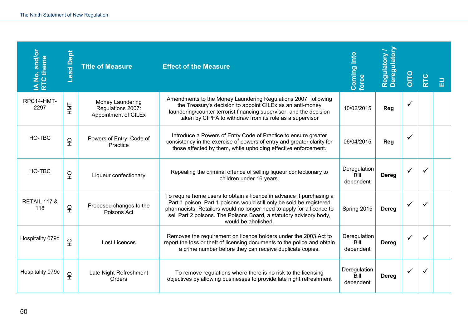| IA No. and/or<br>RTC theme     | ead Dept      | <b>Title of Measure</b>                                       | <b>Effect of the Measure</b>                                                                                                                                                                                                                                                                                       | Coming into<br><b>force</b>       | <b>Regulatory</b><br>Deregulator | OILO | <b>RTC</b>   | 읎 |
|--------------------------------|---------------|---------------------------------------------------------------|--------------------------------------------------------------------------------------------------------------------------------------------------------------------------------------------------------------------------------------------------------------------------------------------------------------------|-----------------------------------|----------------------------------|------|--------------|---|
| RPC14-HMT-<br>2297             | TMH           | Money Laundering<br>Regulations 2007:<br>Appointment of CILEx | Amendments to the Money Laundering Regulations 2007 following<br>the Treasury's decision to appoint CILEx as an anti-money<br>laundering/counter terrorist financing supervisor, and the decision<br>taken by CIPFA to withdraw from its role as a supervisor                                                      | 10/02/2015                        | Reg                              | ✓    |              |   |
| HO-TBC                         | 오             | Powers of Entry: Code of<br>Practice                          | Introduce a Powers of Entry Code of Practice to ensure greater<br>consistency in the exercise of powers of entry and greater clarity for<br>those affected by them, while upholding effective enforcement.                                                                                                         | 06/04/2015                        | Reg                              | ✓    |              |   |
| HO-TBC                         | 오             | Liqueur confectionary                                         | Repealing the criminal offence of selling liqueur confectionary to<br>children under 16 years.                                                                                                                                                                                                                     | Deregulation<br>Bill<br>dependent | <b>Dereg</b>                     |      | ✓            |   |
| <b>RETAIL 117 &amp;</b><br>118 | 오             | Proposed changes to the<br>Poisons Act                        | To require home users to obtain a licence in advance if purchasing a<br>Part 1 poison. Part 1 poisons would still only be sold be registered<br>pharmacists. Retailers would no longer need to apply for a licence to<br>sell Part 2 poisons. The Poisons Board, a statutory advisory body,<br>would be abolished. | Spring 2015                       | Dereg                            |      | ✓            |   |
| Hospitality 079d               | $\frac{Q}{L}$ | Lost Licences                                                 | Removes the requirement on licence holders under the 2003 Act to<br>report the loss or theft of licensing documents to the police and obtain<br>a crime number before they can receive duplicate copies.                                                                                                           | Deregulation<br>Bill<br>dependent | Dereg                            |      | ✓            |   |
| Hospitality 079c               | 오             | Late Night Refreshment<br>Orders                              | To remove regulations where there is no risk to the licensing<br>objectives by allowing businesses to provide late night refreshment                                                                                                                                                                               | Deregulation<br>Bill<br>dependent | <b>Dereg</b>                     |      | $\checkmark$ |   |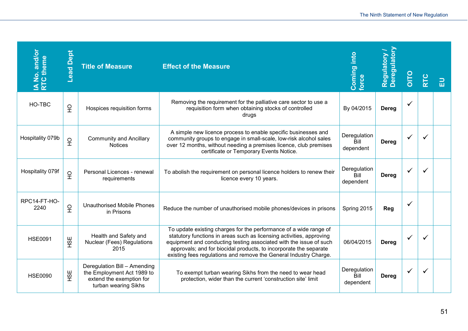| IA No. and/or<br>RTC theme | <b>Lead Dept</b> | <b>Title of Measure</b>                                                                                        | <b>Effect of the Measure</b>                                                                                                                                                                                                                                                                                                                              | Coming into<br>force              | Regulatory /<br>Deregulatory | OITO         | <b>RTC</b>   | 品 |
|----------------------------|------------------|----------------------------------------------------------------------------------------------------------------|-----------------------------------------------------------------------------------------------------------------------------------------------------------------------------------------------------------------------------------------------------------------------------------------------------------------------------------------------------------|-----------------------------------|------------------------------|--------------|--------------|---|
| HO-TBC                     | $\frac{Q}{L}$    | Hospices requisition forms                                                                                     | Removing the requirement for the palliative care sector to use a<br>requisition form when obtaining stocks of controlled<br>drugs                                                                                                                                                                                                                         | By 04/2015                        | <b>Dereg</b>                 | ✓            |              |   |
| Hospitality 079b           | 오                | <b>Community and Ancillary</b><br><b>Notices</b>                                                               | A simple new licence process to enable specific businesses and<br>community groups to engage in small-scale, low-risk alcohol sales<br>over 12 months, without needing a premises licence, club premises<br>certificate or Temporary Events Notice.                                                                                                       | Deregulation<br>Bill<br>dependent | <b>Dereg</b>                 | $\checkmark$ | $\checkmark$ |   |
| Hospitality 079f           | 오                | Personal Licences - renewal<br>requirements                                                                    | To abolish the requirement on personal licence holders to renew their<br>licence every 10 years.                                                                                                                                                                                                                                                          | Deregulation<br>Bill<br>dependent | <b>Dereg</b>                 | $\checkmark$ | ✓            |   |
| RPC14-FT-HO-<br>2240       | $\frac{Q}{L}$    | <b>Unauthorised Mobile Phones</b><br>in Prisons                                                                | Reduce the number of unauthorised mobile phones/devices in prisons                                                                                                                                                                                                                                                                                        | Spring 2015                       | Reg                          | $\checkmark$ |              |   |
| <b>HSE0091</b>             | HSE              | Health and Safety and<br><b>Nuclear (Fees) Regulations</b><br>2015                                             | To update existing charges for the performance of a wide range of<br>statutory functions in areas such as licensing activities, approving<br>equipment and conducting testing associated with the issue of such<br>approvals; and for biocidal products, to incorporate the separate<br>existing fees regulations and remove the General Industry Charge. | 06/04/2015                        | Dereg                        |              | $\checkmark$ |   |
| <b>HSE0090</b>             | ш<br>စှ          | Deregulation Bill - Amending<br>the Employment Act 1989 to<br>extend the exemption for<br>turban wearing Sikhs | To exempt turban wearing Sikhs from the need to wear head<br>protection, wider than the current 'construction site' limit                                                                                                                                                                                                                                 | Deregulation<br>Bill<br>dependent | <b>Dereg</b>                 |              | $\checkmark$ |   |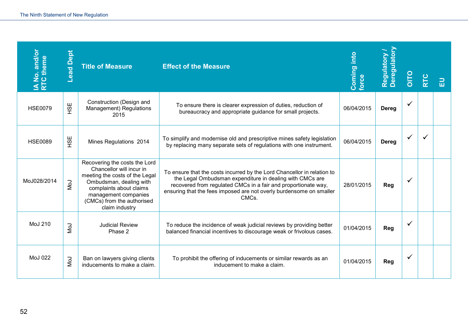| IA No. and/or<br>RTC theme | <b>Lead Dept</b> | <b>Title of Measure</b>                                                                                                                                                                                                   | <b>Effect of the Measure</b>                                                                                                                                                                                                                                                                     | Coming into<br><b>Force</b> | Regulatory<br>Deregulator | DILO | RTC | 品 |
|----------------------------|------------------|---------------------------------------------------------------------------------------------------------------------------------------------------------------------------------------------------------------------------|--------------------------------------------------------------------------------------------------------------------------------------------------------------------------------------------------------------------------------------------------------------------------------------------------|-----------------------------|---------------------------|------|-----|---|
| <b>HSE0079</b>             | HSE              | Construction (Design and<br>Management) Regulations<br>2015                                                                                                                                                               | To ensure there is clearer expression of duties, reduction of<br>bureaucracy and appropriate guidance for small projects.                                                                                                                                                                        | 06/04/2015                  | <b>Dereg</b>              | ✓    |     |   |
| <b>HSE0089</b>             | HSE              | Mines Regulations 2014                                                                                                                                                                                                    | To simplify and modernise old and prescriptive mines safety legislation<br>by replacing many separate sets of regulations with one instrument.                                                                                                                                                   | 06/04/2015                  | <b>Dereg</b>              |      | ✓   |   |
| MoJ028/2014                | LoN              | Recovering the costs the Lord<br>Chancellor will incur in<br>meeting the costs of the Legal<br>Ombudsman, dealing with<br>complaints about claims<br>management companies<br>(CMCs) from the authorised<br>claim industry | To ensure that the costs incurred by the Lord Chancellor in relation to<br>the Legal Ombudsman expenditure in dealing with CMCs are<br>recovered from regulated CMCs in a fair and proportionate way,<br>ensuring that the fees imposed are not overly burdensome on smaller<br>CMC <sub>s</sub> | 28/01/2015                  | Reg                       | ✓    |     |   |
| <b>MoJ 210</b>             | LoN              | <b>Judicial Review</b><br>Phase 2                                                                                                                                                                                         | To reduce the incidence of weak judicial reviews by providing better<br>balanced financial incentives to discourage weak or frivolous cases.                                                                                                                                                     | 01/04/2015                  | Reg                       | ✓    |     |   |
| <b>MoJ 022</b>             | LoM              | Ban on lawyers giving clients<br>inducements to make a claim.                                                                                                                                                             | To prohibit the offering of inducements or similar rewards as an<br>inducement to make a claim.                                                                                                                                                                                                  | 01/04/2015                  | Reg                       | ✓    |     |   |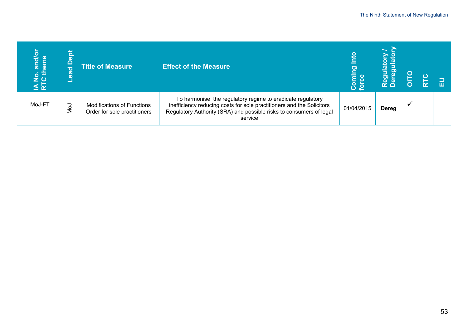| IA No. and/d<br>RTC theme | ▭   | <b>Title of Measure</b>                                           | <b>Effect of the Measure</b>                                                                                                                                                                                          | Cor<br>forc | တ ၊<br>മ |  |  |
|---------------------------|-----|-------------------------------------------------------------------|-----------------------------------------------------------------------------------------------------------------------------------------------------------------------------------------------------------------------|-------------|----------|--|--|
| MoJ-FT                    | LoM | <b>Modifications of Functions</b><br>Order for sole practitioners | To harmonise the regulatory regime to eradicate regulatory<br>inefficiency reducing costs for sole practitioners and the Solicitors<br>Regulatory Authority (SRA) and possible risks to consumers of legal<br>service | 01/04/2015  | Dereg    |  |  |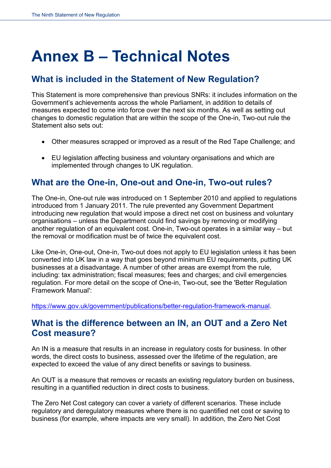# <span id="page-55-0"></span>**Annex B – Technical Notes**

# <span id="page-55-1"></span>**What is included in the Statement of New Regulation?**

This Statement is more comprehensive than previous SNRs: it includes information on the Government's achievements across the whole Parliament, in addition to details of measures expected to come into force over the next six months. As well as setting out changes to domestic regulation that are within the scope of the One-in, Two-out rule the Statement also sets out:

- Other measures scrapped or improved as a result of the Red Tape Challenge; and
- EU legislation affecting business and voluntary organisations and which are implemented through changes to UK regulation.

# <span id="page-55-2"></span>**What are the One-in, One-out and One-in, Two-out rules?**

The One-in, One-out rule was introduced on 1 September 2010 and applied to regulations introduced from 1 January 2011. The rule prevented any Government Department introducing new regulation that would impose a direct net cost on business and voluntary organisations – unless the Department could find savings by removing or modifying another regulation of an equivalent cost. One-in, Two-out operates in a similar way – but the removal or modification must be of twice the equivalent cost.

Like One-in, One-out, One-in, Two-out does not apply to EU legislation unless it has been converted into UK law in a way that goes beyond minimum EU requirements, putting UK businesses at a disadvantage. A number of other areas are exempt from the rule, including: tax administration; fiscal measures; fees and charges; and civil emergencies regulation. For more detail on the scope of One-in, Two-out, see the 'Better Regulation Framework Manual':

[https://www.gov.uk/government/publications/better-regulation-framework-manual.](https://www.gov.uk/government/publications/better-regulation-framework-manual)

## <span id="page-55-3"></span>**What is the difference between an IN, an OUT and a Zero Net Cost measure?**

An IN is a measure that results in an increase in regulatory costs for business. In other words, the direct costs to business, assessed over the lifetime of the regulation, are expected to exceed the value of any direct benefits or savings to business.

An OUT is a measure that removes or recasts an existing regulatory burden on business, resulting in a quantified reduction in direct costs to business.

The Zero Net Cost category can cover a variety of different scenarios. These include regulatory and deregulatory measures where there is no quantified net cost or saving to business (for example, where impacts are very small). In addition, the Zero Net Cost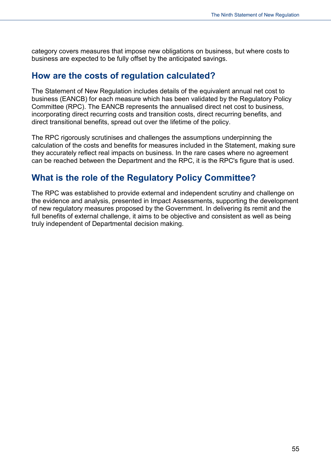category covers measures that impose new obligations on business, but where costs to business are expected to be fully offset by the anticipated savings.

## <span id="page-56-0"></span>**How are the costs of regulation calculated?**

The Statement of New Regulation includes details of the equivalent annual net cost to business (EANCB) for each measure which has been validated by the Regulatory Policy Committee (RPC). The EANCB represents the annualised direct net cost to business, incorporating direct recurring costs and transition costs, direct recurring benefits, and direct transitional benefits, spread out over the lifetime of the policy.

The RPC rigorously scrutinises and challenges the assumptions underpinning the calculation of the costs and benefits for measures included in the Statement, making sure they accurately reflect real impacts on business. In the rare cases where no agreement can be reached between the Department and the RPC, it is the RPC's figure that is used.

# <span id="page-56-1"></span>**What is the role of the Regulatory Policy Committee?**

The RPC was established to provide external and independent scrutiny and challenge on the evidence and analysis, presented in Impact Assessments, supporting the development of new regulatory measures proposed by the Government. In delivering its remit and the full benefits of external challenge, it aims to be objective and consistent as well as being truly independent of Departmental decision making.